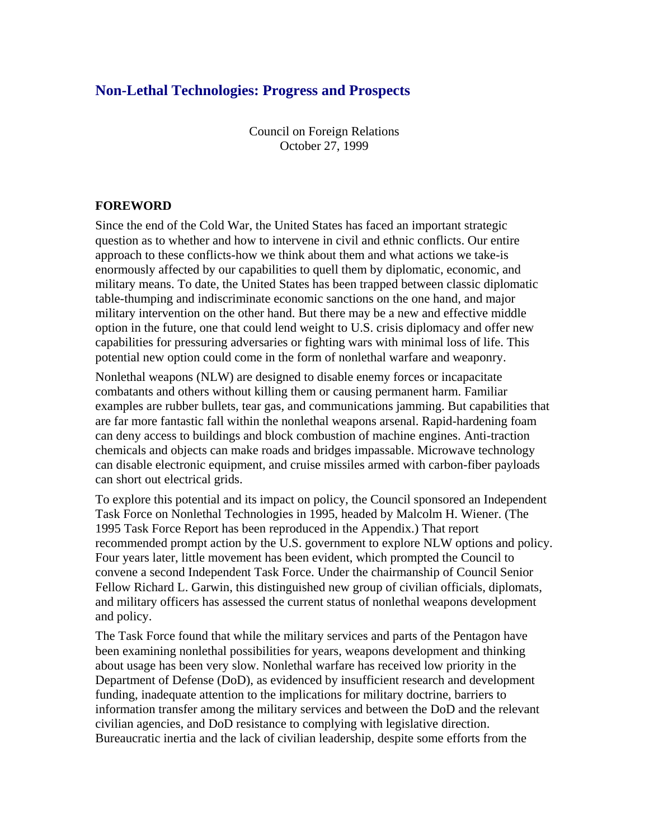# **Non-Lethal Technologies: Progress and Prospects**

Council on Foreign Relations October 27, 1999

#### **FOREWORD**

Since the end of the Cold War, the United States has faced an important strategic question as to whether and how to intervene in civil and ethnic conflicts. Our entire approach to these conflicts-how we think about them and what actions we take-is enormously affected by our capabilities to quell them by diplomatic, economic, and military means. To date, the United States has been trapped between classic diplomatic table-thumping and indiscriminate economic sanctions on the one hand, and major military intervention on the other hand. But there may be a new and effective middle option in the future, one that could lend weight to U.S. crisis diplomacy and offer new capabilities for pressuring adversaries or fighting wars with minimal loss of life. This potential new option could come in the form of nonlethal warfare and weaponry.

Nonlethal weapons (NLW) are designed to disable enemy forces or incapacitate combatants and others without killing them or causing permanent harm. Familiar examples are rubber bullets, tear gas, and communications jamming. But capabilities that are far more fantastic fall within the nonlethal weapons arsenal. Rapid-hardening foam can deny access to buildings and block combustion of machine engines. Anti-traction chemicals and objects can make roads and bridges impassable. Microwave technology can disable electronic equipment, and cruise missiles armed with carbon-fiber payloads can short out electrical grids.

To explore this potential and its impact on policy, the Council sponsored an Independent Task Force on Nonlethal Technologies in 1995, headed by Malcolm H. Wiener. (The 1995 Task Force Report has been reproduced in the Appendix.) That report recommended prompt action by the U.S. government to explore NLW options and policy. Four years later, little movement has been evident, which prompted the Council to convene a second Independent Task Force. Under the chairmanship of Council Senior Fellow Richard L. Garwin, this distinguished new group of civilian officials, diplomats, and military officers has assessed the current status of nonlethal weapons development and policy.

The Task Force found that while the military services and parts of the Pentagon have been examining nonlethal possibilities for years, weapons development and thinking about usage has been very slow. Nonlethal warfare has received low priority in the Department of Defense (DoD), as evidenced by insufficient research and development funding, inadequate attention to the implications for military doctrine, barriers to information transfer among the military services and between the DoD and the relevant civilian agencies, and DoD resistance to complying with legislative direction. Bureaucratic inertia and the lack of civilian leadership, despite some efforts from the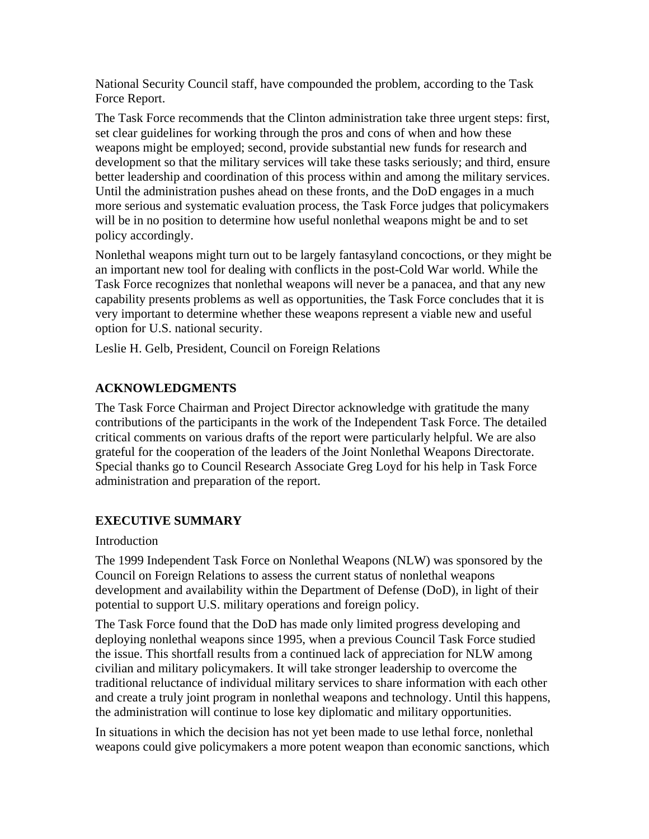National Security Council staff, have compounded the problem, according to the Task Force Report.

The Task Force recommends that the Clinton administration take three urgent steps: first, set clear guidelines for working through the pros and cons of when and how these weapons might be employed; second, provide substantial new funds for research and development so that the military services will take these tasks seriously; and third, ensure better leadership and coordination of this process within and among the military services. Until the administration pushes ahead on these fronts, and the DoD engages in a much more serious and systematic evaluation process, the Task Force judges that policymakers will be in no position to determine how useful nonlethal weapons might be and to set policy accordingly.

Nonlethal weapons might turn out to be largely fantasyland concoctions, or they might be an important new tool for dealing with conflicts in the post-Cold War world. While the Task Force recognizes that nonlethal weapons will never be a panacea, and that any new capability presents problems as well as opportunities, the Task Force concludes that it is very important to determine whether these weapons represent a viable new and useful option for U.S. national security.

Leslie H. Gelb, President, Council on Foreign Relations

# **ACKNOWLEDGMENTS**

The Task Force Chairman and Project Director acknowledge with gratitude the many contributions of the participants in the work of the Independent Task Force. The detailed critical comments on various drafts of the report were particularly helpful. We are also grateful for the cooperation of the leaders of the Joint Nonlethal Weapons Directorate. Special thanks go to Council Research Associate Greg Loyd for his help in Task Force administration and preparation of the report.

# **EXECUTIVE SUMMARY**

### Introduction

The 1999 Independent Task Force on Nonlethal Weapons (NLW) was sponsored by the Council on Foreign Relations to assess the current status of nonlethal weapons development and availability within the Department of Defense (DoD), in light of their potential to support U.S. military operations and foreign policy.

The Task Force found that the DoD has made only limited progress developing and deploying nonlethal weapons since 1995, when a previous Council Task Force studied the issue. This shortfall results from a continued lack of appreciation for NLW among civilian and military policymakers. It will take stronger leadership to overcome the traditional reluctance of individual military services to share information with each other and create a truly joint program in nonlethal weapons and technology. Until this happens, the administration will continue to lose key diplomatic and military opportunities.

In situations in which the decision has not yet been made to use lethal force, nonlethal weapons could give policymakers a more potent weapon than economic sanctions, which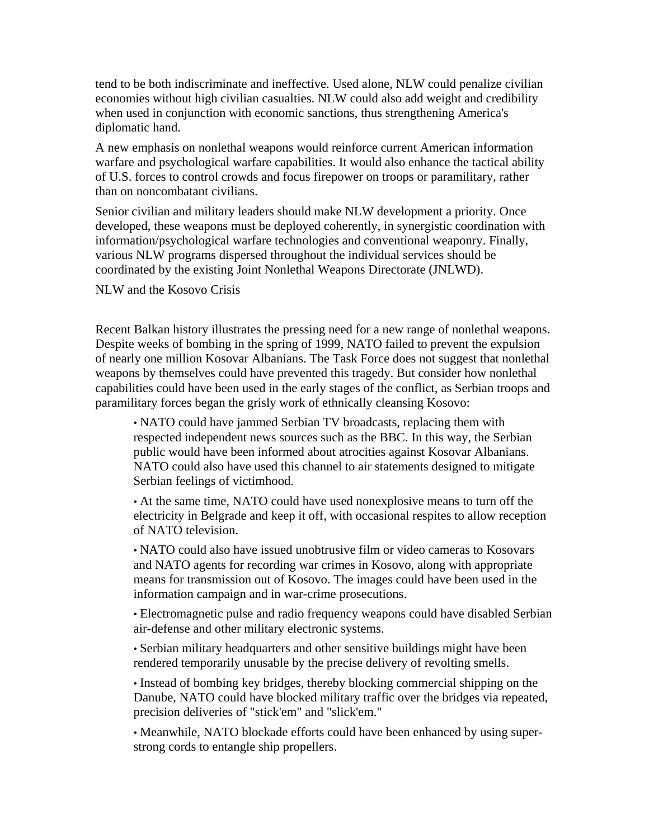tend to be both indiscriminate and ineffective. Used alone, NLW could penalize civilian economies without high civilian casualties. NLW could also add weight and credibility when used in conjunction with economic sanctions, thus strengthening America's diplomatic hand.

A new emphasis on nonlethal weapons would reinforce current American information warfare and psychological warfare capabilities. It would also enhance the tactical ability of U.S. forces to control crowds and focus firepower on troops or paramilitary, rather than on noncombatant civilians.

Senior civilian and military leaders should make NLW development a priority. Once developed, these weapons must be deployed coherently, in synergistic coordination with information/psychological warfare technologies and conventional weaponry. Finally, various NLW programs dispersed throughout the individual services should be coordinated by the existing Joint Nonlethal Weapons Directorate (JNLWD).

NLW and the Kosovo Crisis

Recent Balkan history illustrates the pressing need for a new range of nonlethal weapons. Despite weeks of bombing in the spring of 1999, NATO failed to prevent the expulsion of nearly one million Kosovar Albanians. The Task Force does not suggest that nonlethal weapons by themselves could have prevented this tragedy. But consider how nonlethal capabilities could have been used in the early stages of the conflict, as Serbian troops and paramilitary forces began the grisly work of ethnically cleansing Kosovo:

• NATO could have jammed Serbian TV broadcasts, replacing them with respected independent news sources such as the BBC. In this way, the Serbian public would have been informed about atrocities against Kosovar Albanians. NATO could also have used this channel to air statements designed to mitigate Serbian feelings of victimhood.

• At the same time, NATO could have used nonexplosive means to turn off the electricity in Belgrade and keep it off, with occasional respites to allow reception of NATO television.

• NATO could also have issued unobtrusive film or video cameras to Kosovars and NATO agents for recording war crimes in Kosovo, along with appropriate means for transmission out of Kosovo. The images could have been used in the information campaign and in war-crime prosecutions.

• Electromagnetic pulse and radio frequency weapons could have disabled Serbian air-defense and other military electronic systems.

• Serbian military headquarters and other sensitive buildings might have been rendered temporarily unusable by the precise delivery of revolting smells.

• Instead of bombing key bridges, thereby blocking commercial shipping on the Danube, NATO could have blocked military traffic over the bridges via repeated, precision deliveries of "stick'em" and "slick'em."

• Meanwhile, NATO blockade efforts could have been enhanced by using superstrong cords to entangle ship propellers.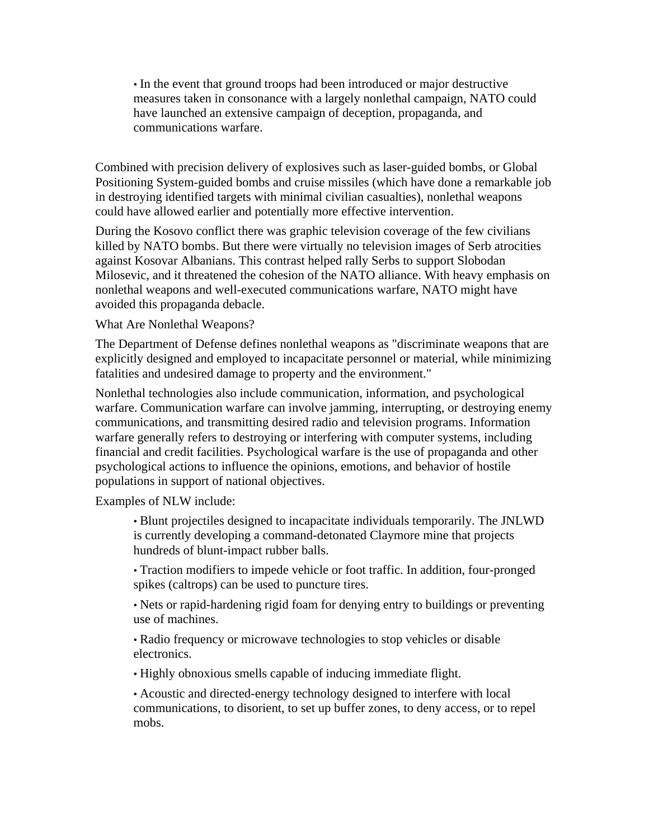• In the event that ground troops had been introduced or major destructive measures taken in consonance with a largely nonlethal campaign, NATO could have launched an extensive campaign of deception, propaganda, and communications warfare.

Combined with precision delivery of explosives such as laser-guided bombs, or Global Positioning System-guided bombs and cruise missiles (which have done a remarkable job in destroying identified targets with minimal civilian casualties), nonlethal weapons could have allowed earlier and potentially more effective intervention.

During the Kosovo conflict there was graphic television coverage of the few civilians killed by NATO bombs. But there were virtually no television images of Serb atrocities against Kosovar Albanians. This contrast helped rally Serbs to support Slobodan Milosevic, and it threatened the cohesion of the NATO alliance. With heavy emphasis on nonlethal weapons and well-executed communications warfare, NATO might have avoided this propaganda debacle.

What Are Nonlethal Weapons?

The Department of Defense defines nonlethal weapons as "discriminate weapons that are explicitly designed and employed to incapacitate personnel or material, while minimizing fatalities and undesired damage to property and the environment."

Nonlethal technologies also include communication, information, and psychological warfare. Communication warfare can involve jamming, interrupting, or destroying enemy communications, and transmitting desired radio and television programs. Information warfare generally refers to destroying or interfering with computer systems, including financial and credit facilities. Psychological warfare is the use of propaganda and other psychological actions to influence the opinions, emotions, and behavior of hostile populations in support of national objectives.

Examples of NLW include:

• Blunt projectiles designed to incapacitate individuals temporarily. The JNLWD is currently developing a command-detonated Claymore mine that projects hundreds of blunt-impact rubber balls.

• Traction modifiers to impede vehicle or foot traffic. In addition, four-pronged spikes (caltrops) can be used to puncture tires.

• Nets or rapid-hardening rigid foam for denying entry to buildings or preventing use of machines.

• Radio frequency or microwave technologies to stop vehicles or disable electronics.

• Highly obnoxious smells capable of inducing immediate flight.

• Acoustic and directed-energy technology designed to interfere with local communications, to disorient, to set up buffer zones, to deny access, or to repel mobs.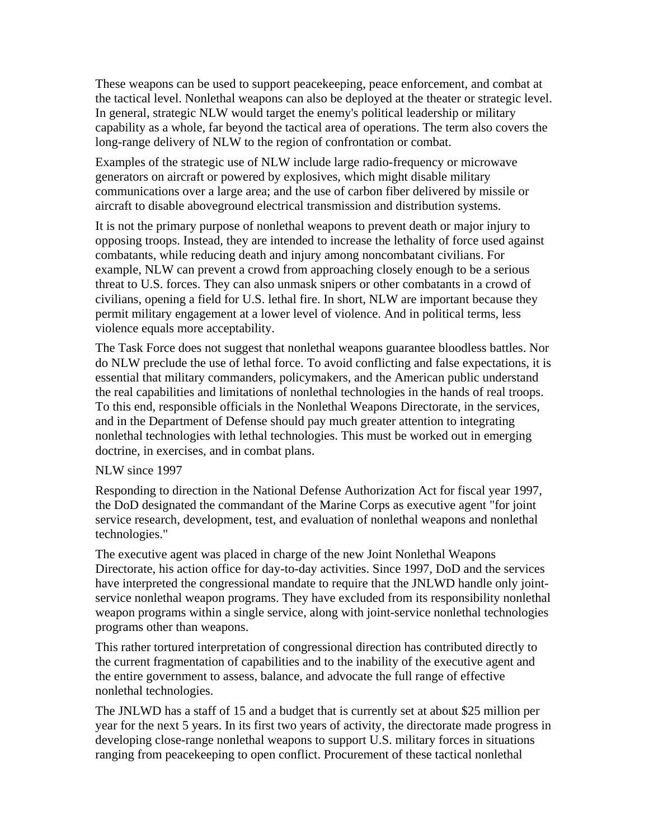These weapons can be used to support peacekeeping, peace enforcement, and combat at the tactical level. Nonlethal weapons can also be deployed at the theater or strategic level. In general, strategic NLW would target the enemy's political leadership or military capability as a whole, far beyond the tactical area of operations. The term also covers the long-range delivery of NLW to the region of confrontation or combat.

Examples of the strategic use of NLW include large radio-frequency or microwave generators on aircraft or powered by explosives, which might disable military communications over a large area; and the use of carbon fiber delivered by missile or aircraft to disable aboveground electrical transmission and distribution systems.

It is not the primary purpose of nonlethal weapons to prevent death or major injury to opposing troops. Instead, they are intended to increase the lethality of force used against combatants, while reducing death and injury among noncombatant civilians. For example, NLW can prevent a crowd from approaching closely enough to be a serious threat to U.S. forces. They can also unmask snipers or other combatants in a crowd of civilians, opening a field for U.S. lethal fire. In short, NLW are important because they permit military engagement at a lower level of violence. And in political terms, less violence equals more acceptability.

The Task Force does not suggest that nonlethal weapons guarantee bloodless battles. Nor do NLW preclude the use of lethal force. To avoid conflicting and false expectations, it is essential that military commanders, policymakers, and the American public understand the real capabilities and limitations of nonlethal technologies in the hands of real troops. To this end, responsible officials in the Nonlethal Weapons Directorate, in the services, and in the Department of Defense should pay much greater attention to integrating nonlethal technologies with lethal technologies. This must be worked out in emerging doctrine, in exercises, and in combat plans.

#### NLW since 1997

Responding to direction in the National Defense Authorization Act for fiscal year 1997, the DoD designated the commandant of the Marine Corps as executive agent "for joint service research, development, test, and evaluation of nonlethal weapons and nonlethal technologies."

The executive agent was placed in charge of the new Joint Nonlethal Weapons Directorate, his action office for day-to-day activities. Since 1997, DoD and the services have interpreted the congressional mandate to require that the JNLWD handle only jointservice nonlethal weapon programs. They have excluded from its responsibility nonlethal weapon programs within a single service, along with joint-service nonlethal technologies programs other than weapons.

This rather tortured interpretation of congressional direction has contributed directly to the current fragmentation of capabilities and to the inability of the executive agent and the entire government to assess, balance, and advocate the full range of effective nonlethal technologies.

The JNLWD has a staff of 15 and a budget that is currently set at about \$25 million per year for the next 5 years. In its first two years of activity, the directorate made progress in developing close-range nonlethal weapons to support U.S. military forces in situations ranging from peacekeeping to open conflict. Procurement of these tactical nonlethal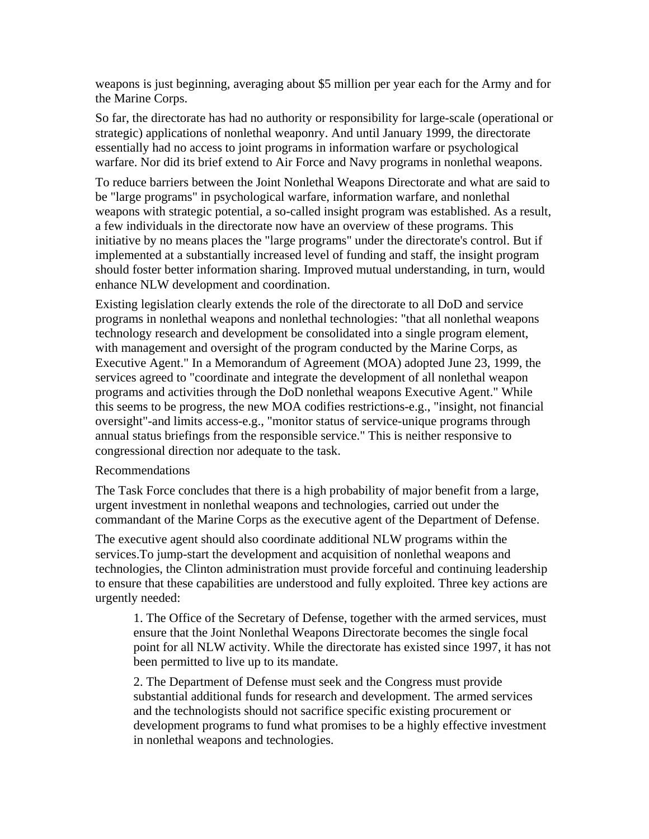weapons is just beginning, averaging about \$5 million per year each for the Army and for the Marine Corps.

So far, the directorate has had no authority or responsibility for large-scale (operational or strategic) applications of nonlethal weaponry. And until January 1999, the directorate essentially had no access to joint programs in information warfare or psychological warfare. Nor did its brief extend to Air Force and Navy programs in nonlethal weapons.

To reduce barriers between the Joint Nonlethal Weapons Directorate and what are said to be "large programs" in psychological warfare, information warfare, and nonlethal weapons with strategic potential, a so-called insight program was established. As a result, a few individuals in the directorate now have an overview of these programs. This initiative by no means places the "large programs" under the directorate's control. But if implemented at a substantially increased level of funding and staff, the insight program should foster better information sharing. Improved mutual understanding, in turn, would enhance NLW development and coordination.

Existing legislation clearly extends the role of the directorate to all DoD and service programs in nonlethal weapons and nonlethal technologies: "that all nonlethal weapons technology research and development be consolidated into a single program element, with management and oversight of the program conducted by the Marine Corps, as Executive Agent." In a Memorandum of Agreement (MOA) adopted June 23, 1999, the services agreed to "coordinate and integrate the development of all nonlethal weapon programs and activities through the DoD nonlethal weapons Executive Agent." While this seems to be progress, the new MOA codifies restrictions-e.g., "insight, not financial oversight"-and limits access-e.g., "monitor status of service-unique programs through annual status briefings from the responsible service." This is neither responsive to congressional direction nor adequate to the task.

#### Recommendations

The Task Force concludes that there is a high probability of major benefit from a large, urgent investment in nonlethal weapons and technologies, carried out under the commandant of the Marine Corps as the executive agent of the Department of Defense.

The executive agent should also coordinate additional NLW programs within the services.To jump-start the development and acquisition of nonlethal weapons and technologies, the Clinton administration must provide forceful and continuing leadership to ensure that these capabilities are understood and fully exploited. Three key actions are urgently needed:

1. The Office of the Secretary of Defense, together with the armed services, must ensure that the Joint Nonlethal Weapons Directorate becomes the single focal point for all NLW activity. While the directorate has existed since 1997, it has not been permitted to live up to its mandate.

2. The Department of Defense must seek and the Congress must provide substantial additional funds for research and development. The armed services and the technologists should not sacrifice specific existing procurement or development programs to fund what promises to be a highly effective investment in nonlethal weapons and technologies.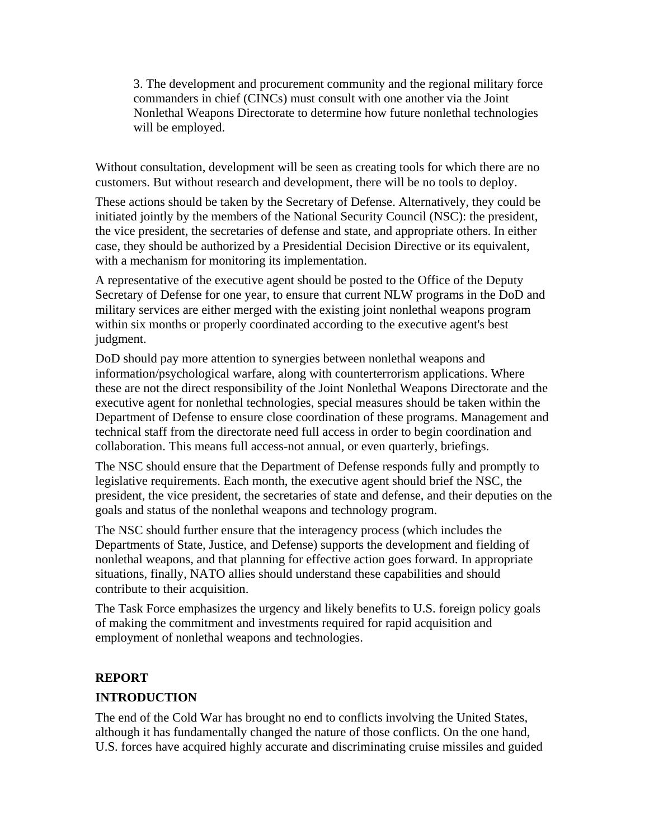3. The development and procurement community and the regional military force commanders in chief (CINCs) must consult with one another via the Joint Nonlethal Weapons Directorate to determine how future nonlethal technologies will be employed.

Without consultation, development will be seen as creating tools for which there are no customers. But without research and development, there will be no tools to deploy.

These actions should be taken by the Secretary of Defense. Alternatively, they could be initiated jointly by the members of the National Security Council (NSC): the president, the vice president, the secretaries of defense and state, and appropriate others. In either case, they should be authorized by a Presidential Decision Directive or its equivalent, with a mechanism for monitoring its implementation.

A representative of the executive agent should be posted to the Office of the Deputy Secretary of Defense for one year, to ensure that current NLW programs in the DoD and military services are either merged with the existing joint nonlethal weapons program within six months or properly coordinated according to the executive agent's best judgment.

DoD should pay more attention to synergies between nonlethal weapons and information/psychological warfare, along with counterterrorism applications. Where these are not the direct responsibility of the Joint Nonlethal Weapons Directorate and the executive agent for nonlethal technologies, special measures should be taken within the Department of Defense to ensure close coordination of these programs. Management and technical staff from the directorate need full access in order to begin coordination and collaboration. This means full access-not annual, or even quarterly, briefings.

The NSC should ensure that the Department of Defense responds fully and promptly to legislative requirements. Each month, the executive agent should brief the NSC, the president, the vice president, the secretaries of state and defense, and their deputies on the goals and status of the nonlethal weapons and technology program.

The NSC should further ensure that the interagency process (which includes the Departments of State, Justice, and Defense) supports the development and fielding of nonlethal weapons, and that planning for effective action goes forward. In appropriate situations, finally, NATO allies should understand these capabilities and should contribute to their acquisition.

The Task Force emphasizes the urgency and likely benefits to U.S. foreign policy goals of making the commitment and investments required for rapid acquisition and employment of nonlethal weapons and technologies.

# **REPORT**

### **INTRODUCTION**

The end of the Cold War has brought no end to conflicts involving the United States, although it has fundamentally changed the nature of those conflicts. On the one hand, U.S. forces have acquired highly accurate and discriminating cruise missiles and guided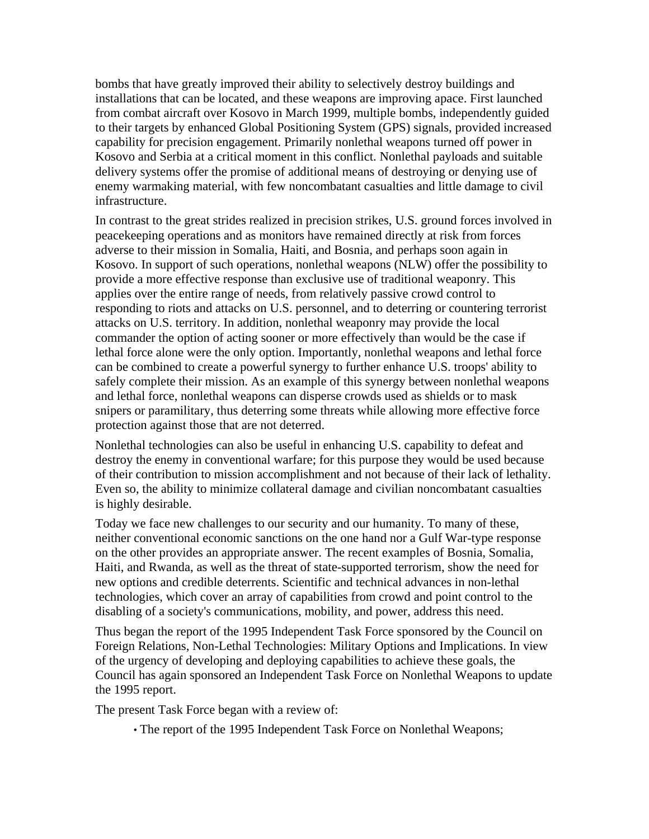bombs that have greatly improved their ability to selectively destroy buildings and installations that can be located, and these weapons are improving apace. First launched from combat aircraft over Kosovo in March 1999, multiple bombs, independently guided to their targets by enhanced Global Positioning System (GPS) signals, provided increased capability for precision engagement. Primarily nonlethal weapons turned off power in Kosovo and Serbia at a critical moment in this conflict. Nonlethal payloads and suitable delivery systems offer the promise of additional means of destroying or denying use of enemy warmaking material, with few noncombatant casualties and little damage to civil infrastructure.

In contrast to the great strides realized in precision strikes, U.S. ground forces involved in peacekeeping operations and as monitors have remained directly at risk from forces adverse to their mission in Somalia, Haiti, and Bosnia, and perhaps soon again in Kosovo. In support of such operations, nonlethal weapons (NLW) offer the possibility to provide a more effective response than exclusive use of traditional weaponry. This applies over the entire range of needs, from relatively passive crowd control to responding to riots and attacks on U.S. personnel, and to deterring or countering terrorist attacks on U.S. territory. In addition, nonlethal weaponry may provide the local commander the option of acting sooner or more effectively than would be the case if lethal force alone were the only option. Importantly, nonlethal weapons and lethal force can be combined to create a powerful synergy to further enhance U.S. troops' ability to safely complete their mission. As an example of this synergy between nonlethal weapons and lethal force, nonlethal weapons can disperse crowds used as shields or to mask snipers or paramilitary, thus deterring some threats while allowing more effective force protection against those that are not deterred.

Nonlethal technologies can also be useful in enhancing U.S. capability to defeat and destroy the enemy in conventional warfare; for this purpose they would be used because of their contribution to mission accomplishment and not because of their lack of lethality. Even so, the ability to minimize collateral damage and civilian noncombatant casualties is highly desirable.

Today we face new challenges to our security and our humanity. To many of these, neither conventional economic sanctions on the one hand nor a Gulf War-type response on the other provides an appropriate answer. The recent examples of Bosnia, Somalia, Haiti, and Rwanda, as well as the threat of state-supported terrorism, show the need for new options and credible deterrents. Scientific and technical advances in non-lethal technologies, which cover an array of capabilities from crowd and point control to the disabling of a society's communications, mobility, and power, address this need.

Thus began the report of the 1995 Independent Task Force sponsored by the Council on Foreign Relations, Non-Lethal Technologies: Military Options and Implications. In view of the urgency of developing and deploying capabilities to achieve these goals, the Council has again sponsored an Independent Task Force on Nonlethal Weapons to update the 1995 report.

The present Task Force began with a review of:

• The report of the 1995 Independent Task Force on Nonlethal Weapons;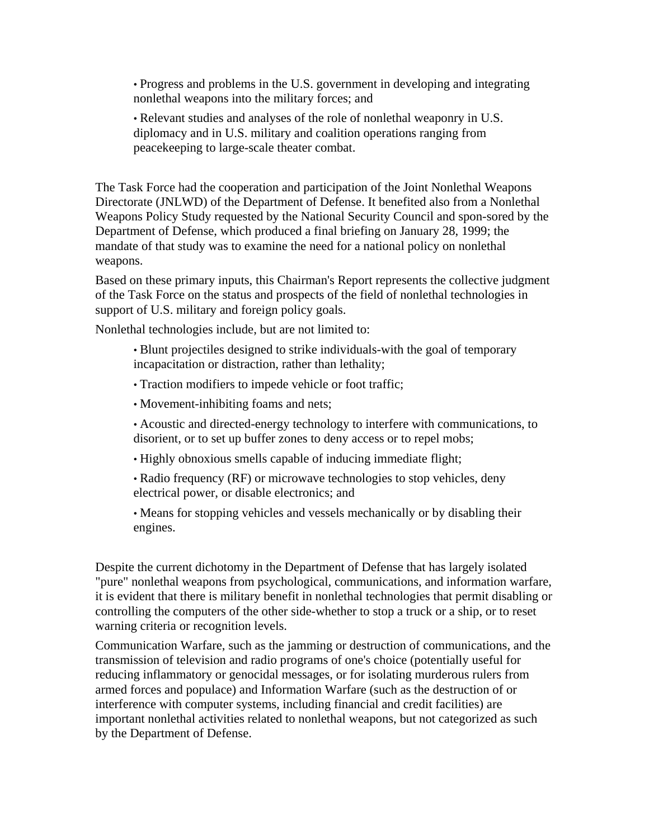• Progress and problems in the U.S. government in developing and integrating nonlethal weapons into the military forces; and

• Relevant studies and analyses of the role of nonlethal weaponry in U.S. diplomacy and in U.S. military and coalition operations ranging from peacekeeping to large-scale theater combat.

The Task Force had the cooperation and participation of the Joint Nonlethal Weapons Directorate (JNLWD) of the Department of Defense. It benefited also from a Nonlethal Weapons Policy Study requested by the National Security Council and spon-sored by the Department of Defense, which produced a final briefing on January 28, 1999; the mandate of that study was to examine the need for a national policy on nonlethal weapons.

Based on these primary inputs, this Chairman's Report represents the collective judgment of the Task Force on the status and prospects of the field of nonlethal technologies in support of U.S. military and foreign policy goals.

Nonlethal technologies include, but are not limited to:

• Blunt projectiles designed to strike individuals-with the goal of temporary incapacitation or distraction, rather than lethality;

- Traction modifiers to impede vehicle or foot traffic;
- Movement-inhibiting foams and nets;
- Acoustic and directed-energy technology to interfere with communications, to disorient, or to set up buffer zones to deny access or to repel mobs;
- Highly obnoxious smells capable of inducing immediate flight;

• Radio frequency (RF) or microwave technologies to stop vehicles, deny electrical power, or disable electronics; and

• Means for stopping vehicles and vessels mechanically or by disabling their engines.

Despite the current dichotomy in the Department of Defense that has largely isolated "pure" nonlethal weapons from psychological, communications, and information warfare, it is evident that there is military benefit in nonlethal technologies that permit disabling or controlling the computers of the other side-whether to stop a truck or a ship, or to reset warning criteria or recognition levels.

Communication Warfare, such as the jamming or destruction of communications, and the transmission of television and radio programs of one's choice (potentially useful for reducing inflammatory or genocidal messages, or for isolating murderous rulers from armed forces and populace) and Information Warfare (such as the destruction of or interference with computer systems, including financial and credit facilities) are important nonlethal activities related to nonlethal weapons, but not categorized as such by the Department of Defense.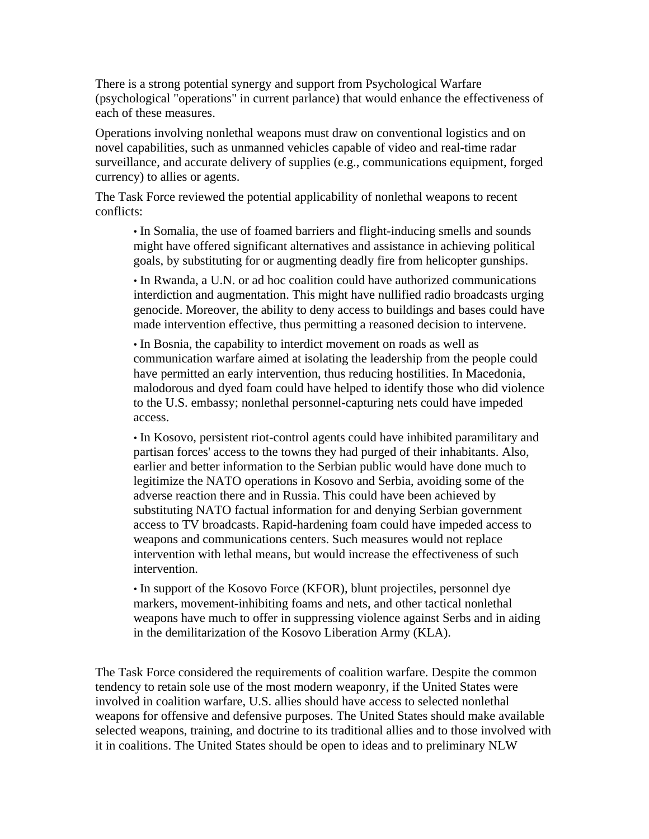There is a strong potential synergy and support from Psychological Warfare (psychological "operations" in current parlance) that would enhance the effectiveness of each of these measures.

Operations involving nonlethal weapons must draw on conventional logistics and on novel capabilities, such as unmanned vehicles capable of video and real-time radar surveillance, and accurate delivery of supplies (e.g., communications equipment, forged currency) to allies or agents.

The Task Force reviewed the potential applicability of nonlethal weapons to recent conflicts:

• In Somalia, the use of foamed barriers and flight-inducing smells and sounds might have offered significant alternatives and assistance in achieving political goals, by substituting for or augmenting deadly fire from helicopter gunships.

• In Rwanda, a U.N. or ad hoc coalition could have authorized communications interdiction and augmentation. This might have nullified radio broadcasts urging genocide. Moreover, the ability to deny access to buildings and bases could have made intervention effective, thus permitting a reasoned decision to intervene.

• In Bosnia, the capability to interdict movement on roads as well as communication warfare aimed at isolating the leadership from the people could have permitted an early intervention, thus reducing hostilities. In Macedonia, malodorous and dyed foam could have helped to identify those who did violence to the U.S. embassy; nonlethal personnel-capturing nets could have impeded access.

• In Kosovo, persistent riot-control agents could have inhibited paramilitary and partisan forces' access to the towns they had purged of their inhabitants. Also, earlier and better information to the Serbian public would have done much to legitimize the NATO operations in Kosovo and Serbia, avoiding some of the adverse reaction there and in Russia. This could have been achieved by substituting NATO factual information for and denying Serbian government access to TV broadcasts. Rapid-hardening foam could have impeded access to weapons and communications centers. Such measures would not replace intervention with lethal means, but would increase the effectiveness of such intervention.

• In support of the Kosovo Force (KFOR), blunt projectiles, personnel dye markers, movement-inhibiting foams and nets, and other tactical nonlethal weapons have much to offer in suppressing violence against Serbs and in aiding in the demilitarization of the Kosovo Liberation Army (KLA).

The Task Force considered the requirements of coalition warfare. Despite the common tendency to retain sole use of the most modern weaponry, if the United States were involved in coalition warfare, U.S. allies should have access to selected nonlethal weapons for offensive and defensive purposes. The United States should make available selected weapons, training, and doctrine to its traditional allies and to those involved with it in coalitions. The United States should be open to ideas and to preliminary NLW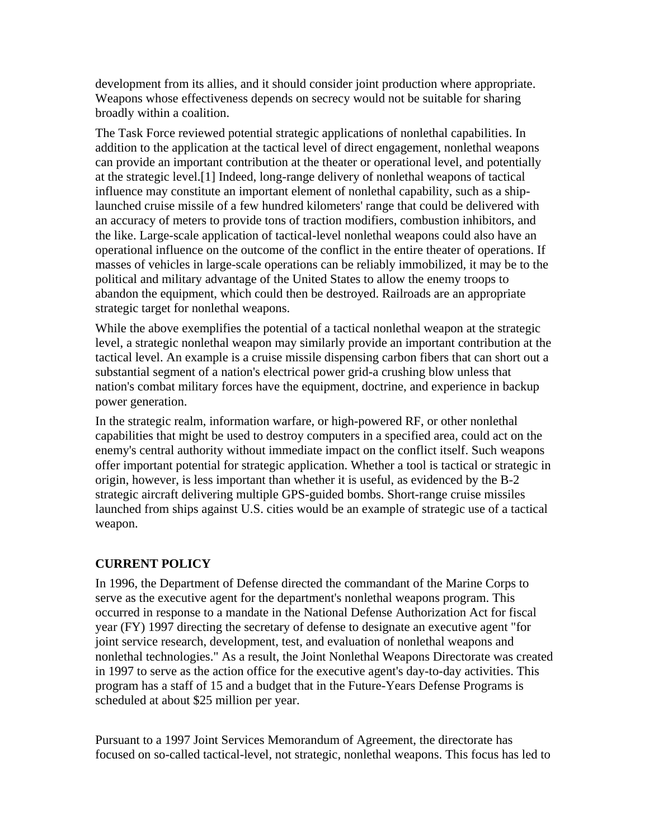development from its allies, and it should consider joint production where appropriate. Weapons whose effectiveness depends on secrecy would not be suitable for sharing broadly within a coalition.

The Task Force reviewed potential strategic applications of nonlethal capabilities. In addition to the application at the tactical level of direct engagement, nonlethal weapons can provide an important contribution at the theater or operational level, and potentially at the strategic level.[1] Indeed, long-range delivery of nonlethal weapons of tactical influence may constitute an important element of nonlethal capability, such as a shiplaunched cruise missile of a few hundred kilometers' range that could be delivered with an accuracy of meters to provide tons of traction modifiers, combustion inhibitors, and the like. Large-scale application of tactical-level nonlethal weapons could also have an operational influence on the outcome of the conflict in the entire theater of operations. If masses of vehicles in large-scale operations can be reliably immobilized, it may be to the political and military advantage of the United States to allow the enemy troops to abandon the equipment, which could then be destroyed. Railroads are an appropriate strategic target for nonlethal weapons.

While the above exemplifies the potential of a tactical nonlethal weapon at the strategic level, a strategic nonlethal weapon may similarly provide an important contribution at the tactical level. An example is a cruise missile dispensing carbon fibers that can short out a substantial segment of a nation's electrical power grid-a crushing blow unless that nation's combat military forces have the equipment, doctrine, and experience in backup power generation.

In the strategic realm, information warfare, or high-powered RF, or other nonlethal capabilities that might be used to destroy computers in a specified area, could act on the enemy's central authority without immediate impact on the conflict itself. Such weapons offer important potential for strategic application. Whether a tool is tactical or strategic in origin, however, is less important than whether it is useful, as evidenced by the B-2 strategic aircraft delivering multiple GPS-guided bombs. Short-range cruise missiles launched from ships against U.S. cities would be an example of strategic use of a tactical weapon.

# **CURRENT POLICY**

In 1996, the Department of Defense directed the commandant of the Marine Corps to serve as the executive agent for the department's nonlethal weapons program. This occurred in response to a mandate in the National Defense Authorization Act for fiscal year (FY) 1997 directing the secretary of defense to designate an executive agent "for joint service research, development, test, and evaluation of nonlethal weapons and nonlethal technologies." As a result, the Joint Nonlethal Weapons Directorate was created in 1997 to serve as the action office for the executive agent's day-to-day activities. This program has a staff of 15 and a budget that in the Future-Years Defense Programs is scheduled at about \$25 million per year.

Pursuant to a 1997 Joint Services Memorandum of Agreement, the directorate has focused on so-called tactical-level, not strategic, nonlethal weapons. This focus has led to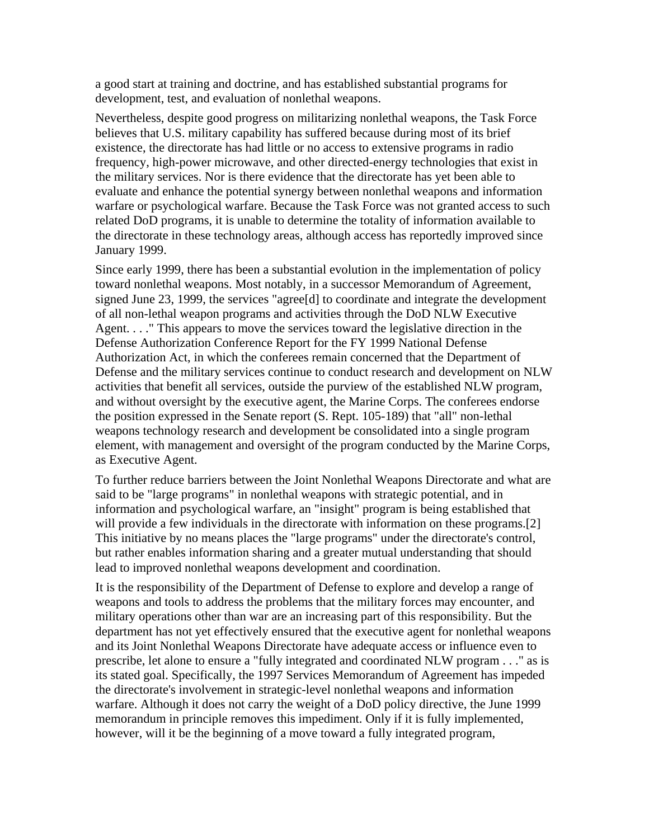a good start at training and doctrine, and has established substantial programs for development, test, and evaluation of nonlethal weapons.

Nevertheless, despite good progress on militarizing nonlethal weapons, the Task Force believes that U.S. military capability has suffered because during most of its brief existence, the directorate has had little or no access to extensive programs in radio frequency, high-power microwave, and other directed-energy technologies that exist in the military services. Nor is there evidence that the directorate has yet been able to evaluate and enhance the potential synergy between nonlethal weapons and information warfare or psychological warfare. Because the Task Force was not granted access to such related DoD programs, it is unable to determine the totality of information available to the directorate in these technology areas, although access has reportedly improved since January 1999.

Since early 1999, there has been a substantial evolution in the implementation of policy toward nonlethal weapons. Most notably, in a successor Memorandum of Agreement, signed June 23, 1999, the services "agree[d] to coordinate and integrate the development of all non-lethal weapon programs and activities through the DoD NLW Executive Agent. . . ." This appears to move the services toward the legislative direction in the Defense Authorization Conference Report for the FY 1999 National Defense Authorization Act, in which the conferees remain concerned that the Department of Defense and the military services continue to conduct research and development on NLW activities that benefit all services, outside the purview of the established NLW program, and without oversight by the executive agent, the Marine Corps. The conferees endorse the position expressed in the Senate report (S. Rept. 105-189) that "all" non-lethal weapons technology research and development be consolidated into a single program element, with management and oversight of the program conducted by the Marine Corps, as Executive Agent.

To further reduce barriers between the Joint Nonlethal Weapons Directorate and what are said to be "large programs" in nonlethal weapons with strategic potential, and in information and psychological warfare, an "insight" program is being established that will provide a few individuals in the directorate with information on these programs.[2] This initiative by no means places the "large programs" under the directorate's control, but rather enables information sharing and a greater mutual understanding that should lead to improved nonlethal weapons development and coordination.

It is the responsibility of the Department of Defense to explore and develop a range of weapons and tools to address the problems that the military forces may encounter, and military operations other than war are an increasing part of this responsibility. But the department has not yet effectively ensured that the executive agent for nonlethal weapons and its Joint Nonlethal Weapons Directorate have adequate access or influence even to prescribe, let alone to ensure a "fully integrated and coordinated NLW program . . ." as is its stated goal. Specifically, the 1997 Services Memorandum of Agreement has impeded the directorate's involvement in strategic-level nonlethal weapons and information warfare. Although it does not carry the weight of a DoD policy directive, the June 1999 memorandum in principle removes this impediment. Only if it is fully implemented, however, will it be the beginning of a move toward a fully integrated program,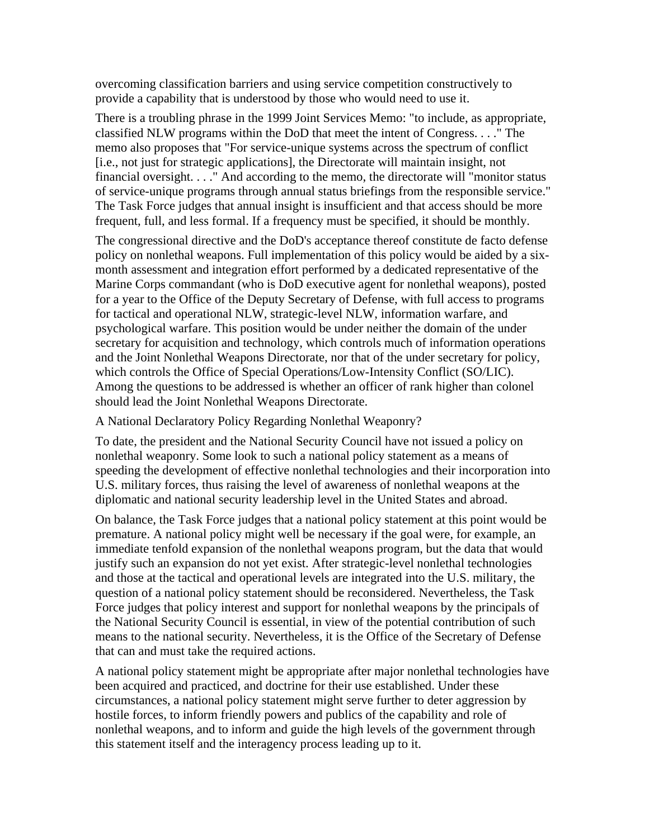overcoming classification barriers and using service competition constructively to provide a capability that is understood by those who would need to use it.

There is a troubling phrase in the 1999 Joint Services Memo: "to include, as appropriate, classified NLW programs within the DoD that meet the intent of Congress. . . ." The memo also proposes that "For service-unique systems across the spectrum of conflict [i.e., not just for strategic applications], the Directorate will maintain insight, not financial oversight. . . ." And according to the memo, the directorate will "monitor status of service-unique programs through annual status briefings from the responsible service." The Task Force judges that annual insight is insufficient and that access should be more frequent, full, and less formal. If a frequency must be specified, it should be monthly.

The congressional directive and the DoD's acceptance thereof constitute de facto defense policy on nonlethal weapons. Full implementation of this policy would be aided by a sixmonth assessment and integration effort performed by a dedicated representative of the Marine Corps commandant (who is DoD executive agent for nonlethal weapons), posted for a year to the Office of the Deputy Secretary of Defense, with full access to programs for tactical and operational NLW, strategic-level NLW, information warfare, and psychological warfare. This position would be under neither the domain of the under secretary for acquisition and technology, which controls much of information operations and the Joint Nonlethal Weapons Directorate, nor that of the under secretary for policy, which controls the Office of Special Operations/Low-Intensity Conflict (SO/LIC). Among the questions to be addressed is whether an officer of rank higher than colonel should lead the Joint Nonlethal Weapons Directorate.

A National Declaratory Policy Regarding Nonlethal Weaponry?

To date, the president and the National Security Council have not issued a policy on nonlethal weaponry. Some look to such a national policy statement as a means of speeding the development of effective nonlethal technologies and their incorporation into U.S. military forces, thus raising the level of awareness of nonlethal weapons at the diplomatic and national security leadership level in the United States and abroad.

On balance, the Task Force judges that a national policy statement at this point would be premature. A national policy might well be necessary if the goal were, for example, an immediate tenfold expansion of the nonlethal weapons program, but the data that would justify such an expansion do not yet exist. After strategic-level nonlethal technologies and those at the tactical and operational levels are integrated into the U.S. military, the question of a national policy statement should be reconsidered. Nevertheless, the Task Force judges that policy interest and support for nonlethal weapons by the principals of the National Security Council is essential, in view of the potential contribution of such means to the national security. Nevertheless, it is the Office of the Secretary of Defense that can and must take the required actions.

A national policy statement might be appropriate after major nonlethal technologies have been acquired and practiced, and doctrine for their use established. Under these circumstances, a national policy statement might serve further to deter aggression by hostile forces, to inform friendly powers and publics of the capability and role of nonlethal weapons, and to inform and guide the high levels of the government through this statement itself and the interagency process leading up to it.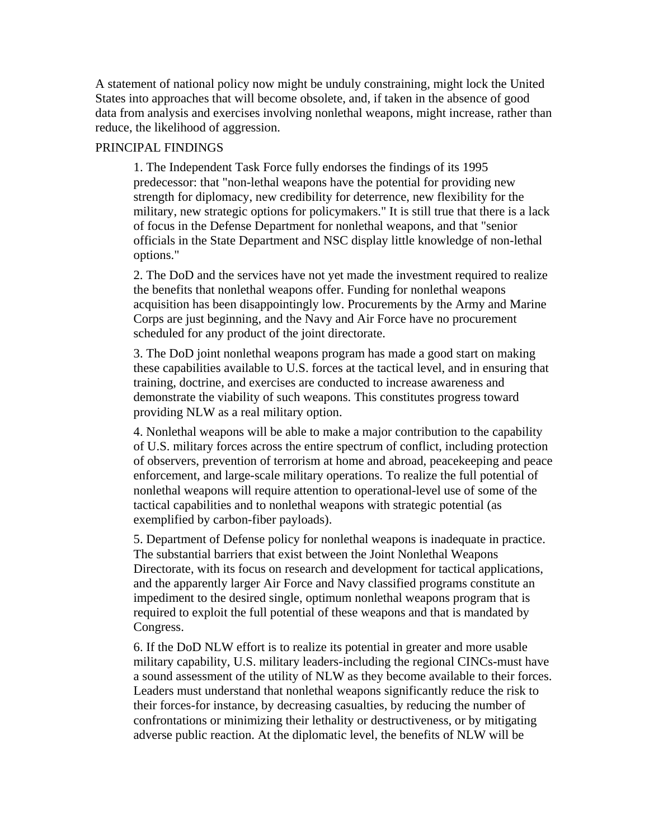A statement of national policy now might be unduly constraining, might lock the United States into approaches that will become obsolete, and, if taken in the absence of good data from analysis and exercises involving nonlethal weapons, might increase, rather than reduce, the likelihood of aggression.

#### PRINCIPAL FINDINGS

1. The Independent Task Force fully endorses the findings of its 1995 predecessor: that "non-lethal weapons have the potential for providing new strength for diplomacy, new credibility for deterrence, new flexibility for the military, new strategic options for policymakers." It is still true that there is a lack of focus in the Defense Department for nonlethal weapons, and that "senior officials in the State Department and NSC display little knowledge of non-lethal options."

2. The DoD and the services have not yet made the investment required to realize the benefits that nonlethal weapons offer. Funding for nonlethal weapons acquisition has been disappointingly low. Procurements by the Army and Marine Corps are just beginning, and the Navy and Air Force have no procurement scheduled for any product of the joint directorate.

3. The DoD joint nonlethal weapons program has made a good start on making these capabilities available to U.S. forces at the tactical level, and in ensuring that training, doctrine, and exercises are conducted to increase awareness and demonstrate the viability of such weapons. This constitutes progress toward providing NLW as a real military option.

4. Nonlethal weapons will be able to make a major contribution to the capability of U.S. military forces across the entire spectrum of conflict, including protection of observers, prevention of terrorism at home and abroad, peacekeeping and peace enforcement, and large-scale military operations. To realize the full potential of nonlethal weapons will require attention to operational-level use of some of the tactical capabilities and to nonlethal weapons with strategic potential (as exemplified by carbon-fiber payloads).

5. Department of Defense policy for nonlethal weapons is inadequate in practice. The substantial barriers that exist between the Joint Nonlethal Weapons Directorate, with its focus on research and development for tactical applications, and the apparently larger Air Force and Navy classified programs constitute an impediment to the desired single, optimum nonlethal weapons program that is required to exploit the full potential of these weapons and that is mandated by Congress.

6. If the DoD NLW effort is to realize its potential in greater and more usable military capability, U.S. military leaders-including the regional CINCs-must have a sound assessment of the utility of NLW as they become available to their forces. Leaders must understand that nonlethal weapons significantly reduce the risk to their forces-for instance, by decreasing casualties, by reducing the number of confrontations or minimizing their lethality or destructiveness, or by mitigating adverse public reaction. At the diplomatic level, the benefits of NLW will be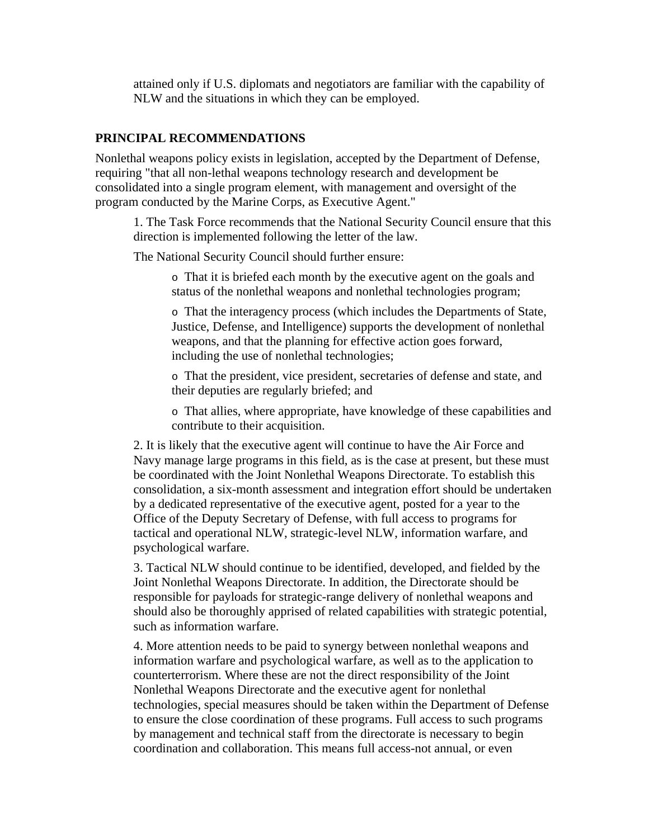attained only if U.S. diplomats and negotiators are familiar with the capability of NLW and the situations in which they can be employed.

#### **PRINCIPAL RECOMMENDATIONS**

Nonlethal weapons policy exists in legislation, accepted by the Department of Defense, requiring "that all non-lethal weapons technology research and development be consolidated into a single program element, with management and oversight of the program conducted by the Marine Corps, as Executive Agent."

1. The Task Force recommends that the National Security Council ensure that this direction is implemented following the letter of the law.

The National Security Council should further ensure:

o That it is briefed each month by the executive agent on the goals and status of the nonlethal weapons and nonlethal technologies program;

o That the interagency process (which includes the Departments of State, Justice, Defense, and Intelligence) supports the development of nonlethal weapons, and that the planning for effective action goes forward, including the use of nonlethal technologies;

o That the president, vice president, secretaries of defense and state, and their deputies are regularly briefed; and

o That allies, where appropriate, have knowledge of these capabilities and contribute to their acquisition.

2. It is likely that the executive agent will continue to have the Air Force and Navy manage large programs in this field, as is the case at present, but these must be coordinated with the Joint Nonlethal Weapons Directorate. To establish this consolidation, a six-month assessment and integration effort should be undertaken by a dedicated representative of the executive agent, posted for a year to the Office of the Deputy Secretary of Defense, with full access to programs for tactical and operational NLW, strategic-level NLW, information warfare, and psychological warfare.

3. Tactical NLW should continue to be identified, developed, and fielded by the Joint Nonlethal Weapons Directorate. In addition, the Directorate should be responsible for payloads for strategic-range delivery of nonlethal weapons and should also be thoroughly apprised of related capabilities with strategic potential, such as information warfare.

4. More attention needs to be paid to synergy between nonlethal weapons and information warfare and psychological warfare, as well as to the application to counterterrorism. Where these are not the direct responsibility of the Joint Nonlethal Weapons Directorate and the executive agent for nonlethal technologies, special measures should be taken within the Department of Defense to ensure the close coordination of these programs. Full access to such programs by management and technical staff from the directorate is necessary to begin coordination and collaboration. This means full access-not annual, or even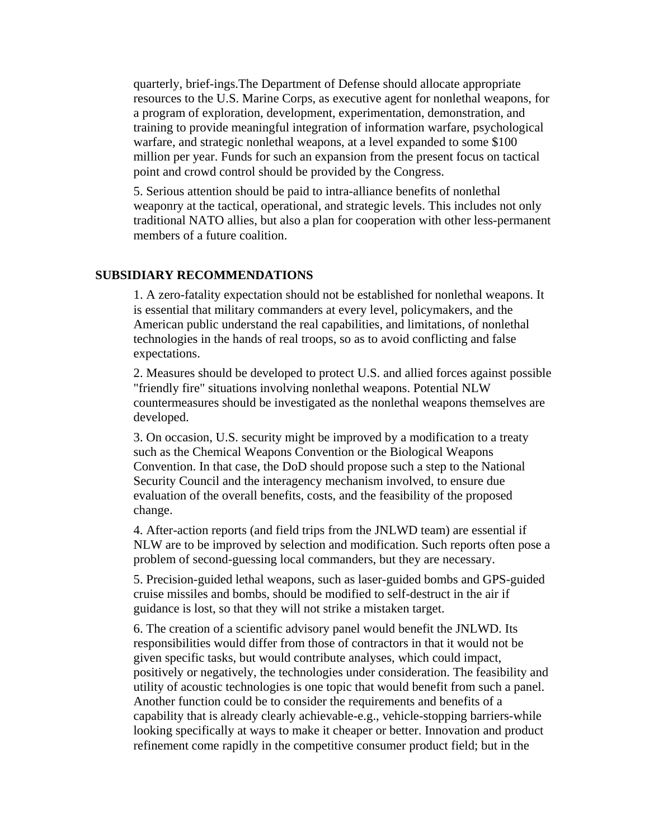quarterly, brief-ings.The Department of Defense should allocate appropriate resources to the U.S. Marine Corps, as executive agent for nonlethal weapons, for a program of exploration, development, experimentation, demonstration, and training to provide meaningful integration of information warfare, psychological warfare, and strategic nonlethal weapons, at a level expanded to some \$100 million per year. Funds for such an expansion from the present focus on tactical point and crowd control should be provided by the Congress.

5. Serious attention should be paid to intra-alliance benefits of nonlethal weaponry at the tactical, operational, and strategic levels. This includes not only traditional NATO allies, but also a plan for cooperation with other less-permanent members of a future coalition.

#### **SUBSIDIARY RECOMMENDATIONS**

1. A zero-fatality expectation should not be established for nonlethal weapons. It is essential that military commanders at every level, policymakers, and the American public understand the real capabilities, and limitations, of nonlethal technologies in the hands of real troops, so as to avoid conflicting and false expectations.

2. Measures should be developed to protect U.S. and allied forces against possible "friendly fire" situations involving nonlethal weapons. Potential NLW countermeasures should be investigated as the nonlethal weapons themselves are developed.

3. On occasion, U.S. security might be improved by a modification to a treaty such as the Chemical Weapons Convention or the Biological Weapons Convention. In that case, the DoD should propose such a step to the National Security Council and the interagency mechanism involved, to ensure due evaluation of the overall benefits, costs, and the feasibility of the proposed change.

4. After-action reports (and field trips from the JNLWD team) are essential if NLW are to be improved by selection and modification. Such reports often pose a problem of second-guessing local commanders, but they are necessary.

5. Precision-guided lethal weapons, such as laser-guided bombs and GPS-guided cruise missiles and bombs, should be modified to self-destruct in the air if guidance is lost, so that they will not strike a mistaken target.

6. The creation of a scientific advisory panel would benefit the JNLWD. Its responsibilities would differ from those of contractors in that it would not be given specific tasks, but would contribute analyses, which could impact, positively or negatively, the technologies under consideration. The feasibility and utility of acoustic technologies is one topic that would benefit from such a panel. Another function could be to consider the requirements and benefits of a capability that is already clearly achievable-e.g., vehicle-stopping barriers-while looking specifically at ways to make it cheaper or better. Innovation and product refinement come rapidly in the competitive consumer product field; but in the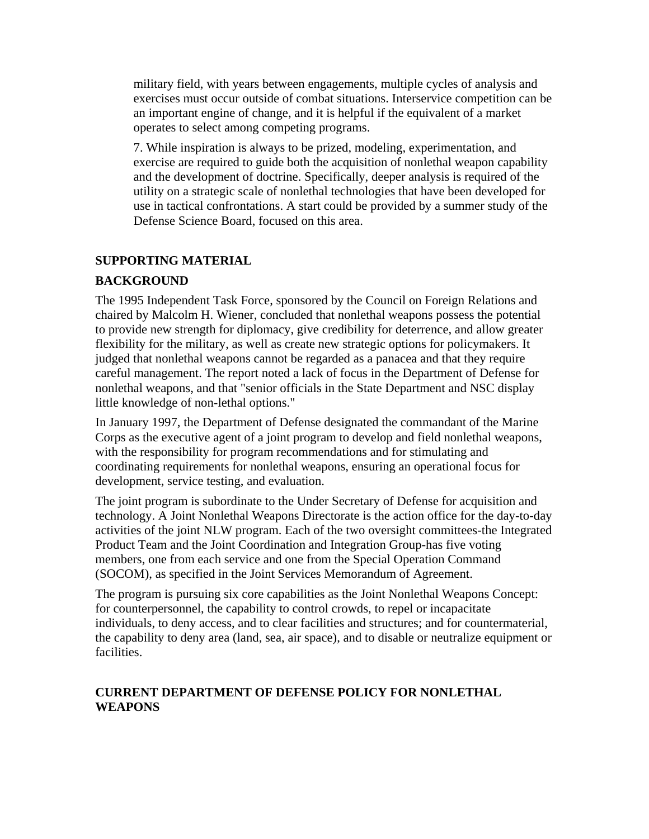military field, with years between engagements, multiple cycles of analysis and exercises must occur outside of combat situations. Interservice competition can be an important engine of change, and it is helpful if the equivalent of a market operates to select among competing programs.

7. While inspiration is always to be prized, modeling, experimentation, and exercise are required to guide both the acquisition of nonlethal weapon capability and the development of doctrine. Specifically, deeper analysis is required of the utility on a strategic scale of nonlethal technologies that have been developed for use in tactical confrontations. A start could be provided by a summer study of the Defense Science Board, focused on this area.

# **SUPPORTING MATERIAL**

# **BACKGROUND**

The 1995 Independent Task Force, sponsored by the Council on Foreign Relations and chaired by Malcolm H. Wiener, concluded that nonlethal weapons possess the potential to provide new strength for diplomacy, give credibility for deterrence, and allow greater flexibility for the military, as well as create new strategic options for policymakers. It judged that nonlethal weapons cannot be regarded as a panacea and that they require careful management. The report noted a lack of focus in the Department of Defense for nonlethal weapons, and that "senior officials in the State Department and NSC display little knowledge of non-lethal options."

In January 1997, the Department of Defense designated the commandant of the Marine Corps as the executive agent of a joint program to develop and field nonlethal weapons, with the responsibility for program recommendations and for stimulating and coordinating requirements for nonlethal weapons, ensuring an operational focus for development, service testing, and evaluation.

The joint program is subordinate to the Under Secretary of Defense for acquisition and technology. A Joint Nonlethal Weapons Directorate is the action office for the day-to-day activities of the joint NLW program. Each of the two oversight committees-the Integrated Product Team and the Joint Coordination and Integration Group-has five voting members, one from each service and one from the Special Operation Command (SOCOM), as specified in the Joint Services Memorandum of Agreement.

The program is pursuing six core capabilities as the Joint Nonlethal Weapons Concept: for counterpersonnel, the capability to control crowds, to repel or incapacitate individuals, to deny access, and to clear facilities and structures; and for countermaterial, the capability to deny area (land, sea, air space), and to disable or neutralize equipment or facilities.

# **CURRENT DEPARTMENT OF DEFENSE POLICY FOR NONLETHAL WEAPONS**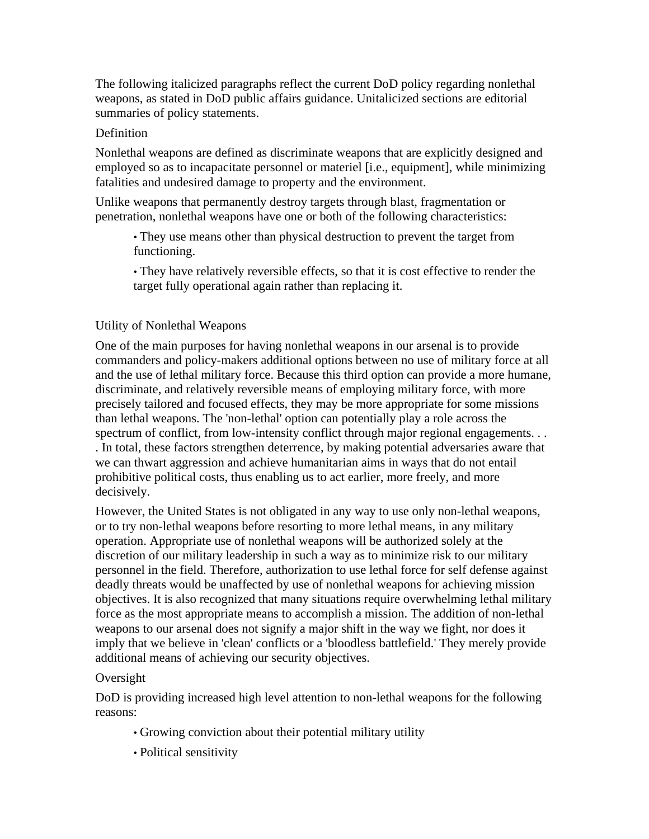The following italicized paragraphs reflect the current DoD policy regarding nonlethal weapons, as stated in DoD public affairs guidance. Unitalicized sections are editorial summaries of policy statements.

# Definition

Nonlethal weapons are defined as discriminate weapons that are explicitly designed and employed so as to incapacitate personnel or materiel [i.e., equipment], while minimizing fatalities and undesired damage to property and the environment.

Unlike weapons that permanently destroy targets through blast, fragmentation or penetration, nonlethal weapons have one or both of the following characteristics:

• They use means other than physical destruction to prevent the target from functioning.

• They have relatively reversible effects, so that it is cost effective to render the target fully operational again rather than replacing it.

### Utility of Nonlethal Weapons

One of the main purposes for having nonlethal weapons in our arsenal is to provide commanders and policy-makers additional options between no use of military force at all and the use of lethal military force. Because this third option can provide a more humane, discriminate, and relatively reversible means of employing military force, with more precisely tailored and focused effects, they may be more appropriate for some missions than lethal weapons. The 'non-lethal' option can potentially play a role across the spectrum of conflict, from low-intensity conflict through major regional engagements. . . . In total, these factors strengthen deterrence, by making potential adversaries aware that we can thwart aggression and achieve humanitarian aims in ways that do not entail prohibitive political costs, thus enabling us to act earlier, more freely, and more decisively.

However, the United States is not obligated in any way to use only non-lethal weapons, or to try non-lethal weapons before resorting to more lethal means, in any military operation. Appropriate use of nonlethal weapons will be authorized solely at the discretion of our military leadership in such a way as to minimize risk to our military personnel in the field. Therefore, authorization to use lethal force for self defense against deadly threats would be unaffected by use of nonlethal weapons for achieving mission objectives. It is also recognized that many situations require overwhelming lethal military force as the most appropriate means to accomplish a mission. The addition of non-lethal weapons to our arsenal does not signify a major shift in the way we fight, nor does it imply that we believe in 'clean' conflicts or a 'bloodless battlefield.' They merely provide additional means of achieving our security objectives.

### Oversight

DoD is providing increased high level attention to non-lethal weapons for the following reasons:

- Growing conviction about their potential military utility
- Political sensitivity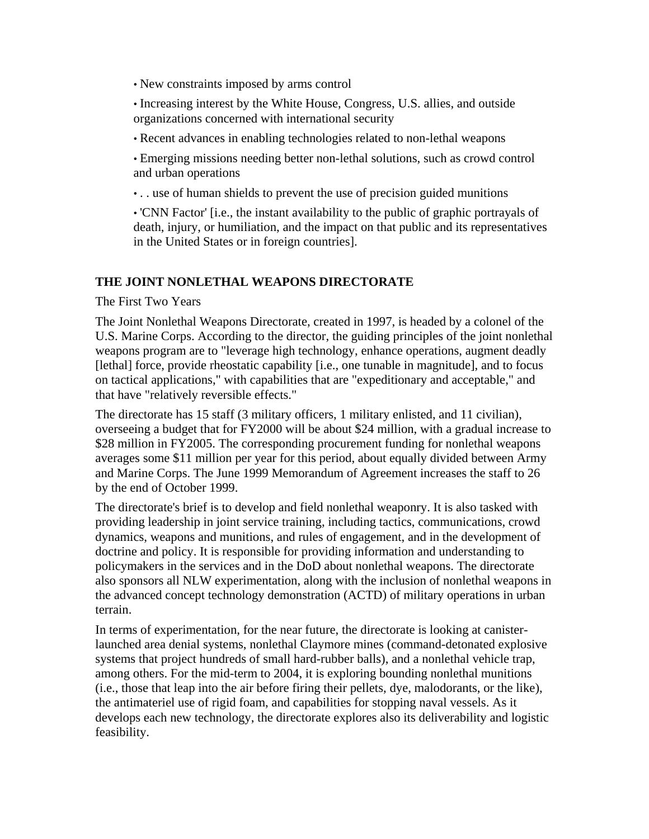• New constraints imposed by arms control

• Increasing interest by the White House, Congress, U.S. allies, and outside organizations concerned with international security

• Recent advances in enabling technologies related to non-lethal weapons

• Emerging missions needing better non-lethal solutions, such as crowd control and urban operations

• . . use of human shields to prevent the use of precision guided munitions

• 'CNN Factor' [i.e., the instant availability to the public of graphic portrayals of death, injury, or humiliation, and the impact on that public and its representatives in the United States or in foreign countries].

### **THE JOINT NONLETHAL WEAPONS DIRECTORATE**

The First Two Years

The Joint Nonlethal Weapons Directorate, created in 1997, is headed by a colonel of the U.S. Marine Corps. According to the director, the guiding principles of the joint nonlethal weapons program are to "leverage high technology, enhance operations, augment deadly [lethal] force, provide rheostatic capability [i.e., one tunable in magnitude], and to focus on tactical applications," with capabilities that are "expeditionary and acceptable," and that have "relatively reversible effects."

The directorate has 15 staff (3 military officers, 1 military enlisted, and 11 civilian), overseeing a budget that for FY2000 will be about \$24 million, with a gradual increase to \$28 million in FY2005. The corresponding procurement funding for nonlethal weapons averages some \$11 million per year for this period, about equally divided between Army and Marine Corps. The June 1999 Memorandum of Agreement increases the staff to 26 by the end of October 1999.

The directorate's brief is to develop and field nonlethal weaponry. It is also tasked with providing leadership in joint service training, including tactics, communications, crowd dynamics, weapons and munitions, and rules of engagement, and in the development of doctrine and policy. It is responsible for providing information and understanding to policymakers in the services and in the DoD about nonlethal weapons. The directorate also sponsors all NLW experimentation, along with the inclusion of nonlethal weapons in the advanced concept technology demonstration (ACTD) of military operations in urban terrain.

In terms of experimentation, for the near future, the directorate is looking at canisterlaunched area denial systems, nonlethal Claymore mines (command-detonated explosive systems that project hundreds of small hard-rubber balls), and a nonlethal vehicle trap, among others. For the mid-term to 2004, it is exploring bounding nonlethal munitions (i.e., those that leap into the air before firing their pellets, dye, malodorants, or the like), the antimateriel use of rigid foam, and capabilities for stopping naval vessels. As it develops each new technology, the directorate explores also its deliverability and logistic feasibility.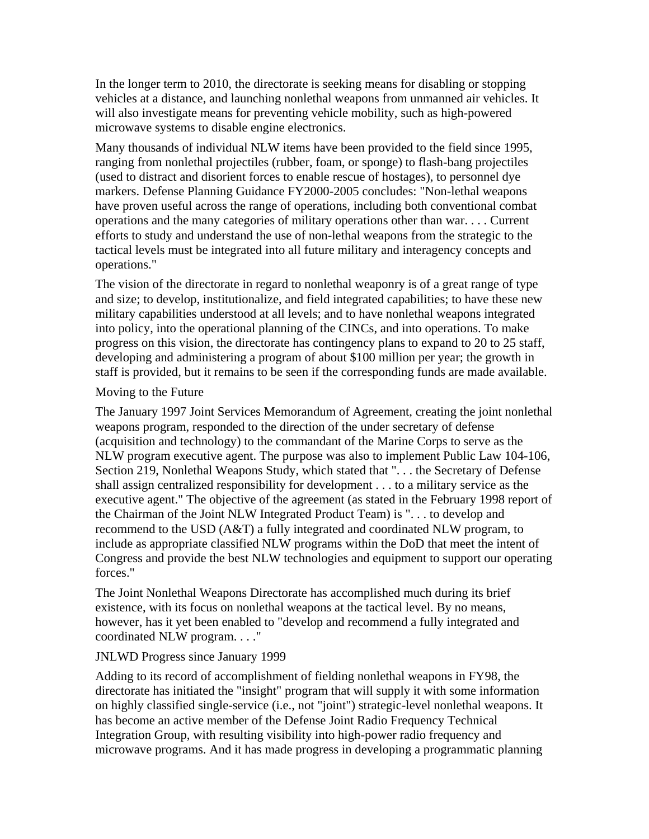In the longer term to 2010, the directorate is seeking means for disabling or stopping vehicles at a distance, and launching nonlethal weapons from unmanned air vehicles. It will also investigate means for preventing vehicle mobility, such as high-powered microwave systems to disable engine electronics.

Many thousands of individual NLW items have been provided to the field since 1995, ranging from nonlethal projectiles (rubber, foam, or sponge) to flash-bang projectiles (used to distract and disorient forces to enable rescue of hostages), to personnel dye markers. Defense Planning Guidance FY2000-2005 concludes: "Non-lethal weapons have proven useful across the range of operations, including both conventional combat operations and the many categories of military operations other than war. . . . Current efforts to study and understand the use of non-lethal weapons from the strategic to the tactical levels must be integrated into all future military and interagency concepts and operations."

The vision of the directorate in regard to nonlethal weaponry is of a great range of type and size; to develop, institutionalize, and field integrated capabilities; to have these new military capabilities understood at all levels; and to have nonlethal weapons integrated into policy, into the operational planning of the CINCs, and into operations. To make progress on this vision, the directorate has contingency plans to expand to 20 to 25 staff, developing and administering a program of about \$100 million per year; the growth in staff is provided, but it remains to be seen if the corresponding funds are made available.

### Moving to the Future

The January 1997 Joint Services Memorandum of Agreement, creating the joint nonlethal weapons program, responded to the direction of the under secretary of defense (acquisition and technology) to the commandant of the Marine Corps to serve as the NLW program executive agent. The purpose was also to implement Public Law 104-106, Section 219, Nonlethal Weapons Study, which stated that "... the Secretary of Defense shall assign centralized responsibility for development . . . to a military service as the executive agent." The objective of the agreement (as stated in the February 1998 report of the Chairman of the Joint NLW Integrated Product Team) is ". . . to develop and recommend to the USD (A&T) a fully integrated and coordinated NLW program, to include as appropriate classified NLW programs within the DoD that meet the intent of Congress and provide the best NLW technologies and equipment to support our operating forces."

The Joint Nonlethal Weapons Directorate has accomplished much during its brief existence, with its focus on nonlethal weapons at the tactical level. By no means, however, has it yet been enabled to "develop and recommend a fully integrated and coordinated NLW program. . . ."

### JNLWD Progress since January 1999

Adding to its record of accomplishment of fielding nonlethal weapons in FY98, the directorate has initiated the "insight" program that will supply it with some information on highly classified single-service (i.e., not "joint") strategic-level nonlethal weapons. It has become an active member of the Defense Joint Radio Frequency Technical Integration Group, with resulting visibility into high-power radio frequency and microwave programs. And it has made progress in developing a programmatic planning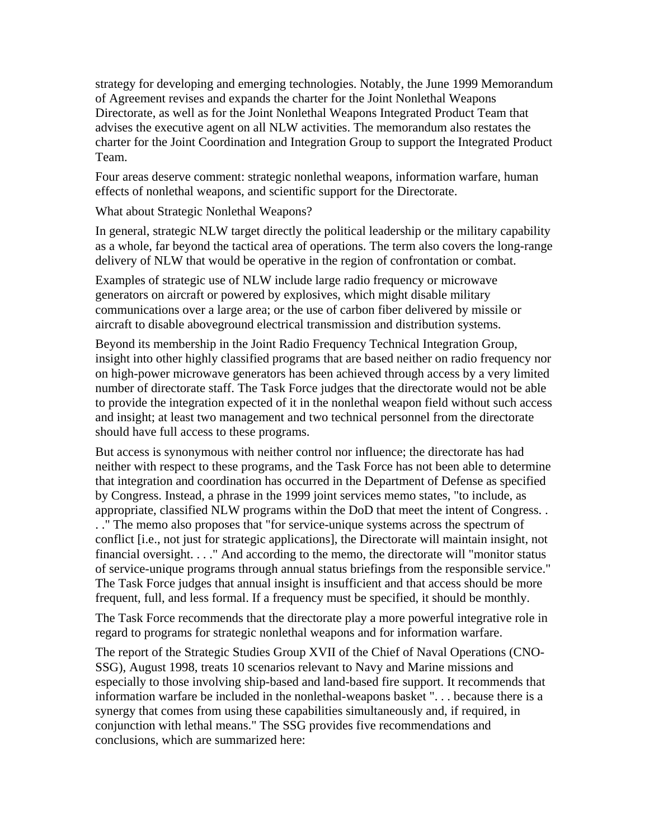strategy for developing and emerging technologies. Notably, the June 1999 Memorandum of Agreement revises and expands the charter for the Joint Nonlethal Weapons Directorate, as well as for the Joint Nonlethal Weapons Integrated Product Team that advises the executive agent on all NLW activities. The memorandum also restates the charter for the Joint Coordination and Integration Group to support the Integrated Product Team.

Four areas deserve comment: strategic nonlethal weapons, information warfare, human effects of nonlethal weapons, and scientific support for the Directorate.

What about Strategic Nonlethal Weapons?

In general, strategic NLW target directly the political leadership or the military capability as a whole, far beyond the tactical area of operations. The term also covers the long-range delivery of NLW that would be operative in the region of confrontation or combat.

Examples of strategic use of NLW include large radio frequency or microwave generators on aircraft or powered by explosives, which might disable military communications over a large area; or the use of carbon fiber delivered by missile or aircraft to disable aboveground electrical transmission and distribution systems.

Beyond its membership in the Joint Radio Frequency Technical Integration Group, insight into other highly classified programs that are based neither on radio frequency nor on high-power microwave generators has been achieved through access by a very limited number of directorate staff. The Task Force judges that the directorate would not be able to provide the integration expected of it in the nonlethal weapon field without such access and insight; at least two management and two technical personnel from the directorate should have full access to these programs.

But access is synonymous with neither control nor influence; the directorate has had neither with respect to these programs, and the Task Force has not been able to determine that integration and coordination has occurred in the Department of Defense as specified by Congress. Instead, a phrase in the 1999 joint services memo states, "to include, as appropriate, classified NLW programs within the DoD that meet the intent of Congress. . . ." The memo also proposes that "for service-unique systems across the spectrum of conflict [i.e., not just for strategic applications], the Directorate will maintain insight, not financial oversight. . . ." And according to the memo, the directorate will "monitor status of service-unique programs through annual status briefings from the responsible service." The Task Force judges that annual insight is insufficient and that access should be more frequent, full, and less formal. If a frequency must be specified, it should be monthly.

The Task Force recommends that the directorate play a more powerful integrative role in regard to programs for strategic nonlethal weapons and for information warfare.

The report of the Strategic Studies Group XVII of the Chief of Naval Operations (CNO-SSG), August 1998, treats 10 scenarios relevant to Navy and Marine missions and especially to those involving ship-based and land-based fire support. It recommends that information warfare be included in the nonlethal-weapons basket ". . . because there is a synergy that comes from using these capabilities simultaneously and, if required, in conjunction with lethal means." The SSG provides five recommendations and conclusions, which are summarized here: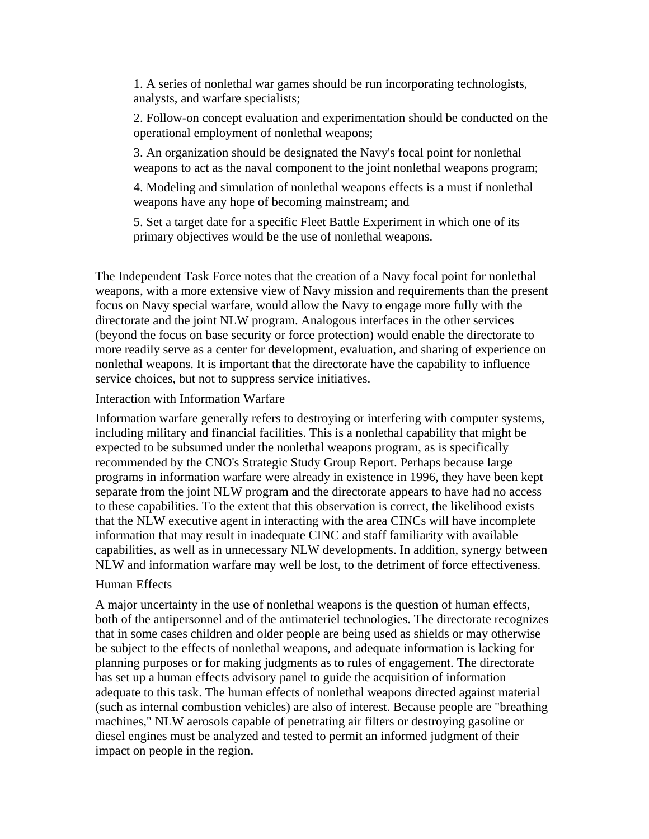1. A series of nonlethal war games should be run incorporating technologists, analysts, and warfare specialists;

2. Follow-on concept evaluation and experimentation should be conducted on the operational employment of nonlethal weapons;

3. An organization should be designated the Navy's focal point for nonlethal weapons to act as the naval component to the joint nonlethal weapons program;

4. Modeling and simulation of nonlethal weapons effects is a must if nonlethal weapons have any hope of becoming mainstream; and

5. Set a target date for a specific Fleet Battle Experiment in which one of its primary objectives would be the use of nonlethal weapons.

The Independent Task Force notes that the creation of a Navy focal point for nonlethal weapons, with a more extensive view of Navy mission and requirements than the present focus on Navy special warfare, would allow the Navy to engage more fully with the directorate and the joint NLW program. Analogous interfaces in the other services (beyond the focus on base security or force protection) would enable the directorate to more readily serve as a center for development, evaluation, and sharing of experience on nonlethal weapons. It is important that the directorate have the capability to influence service choices, but not to suppress service initiatives.

### Interaction with Information Warfare

Information warfare generally refers to destroying or interfering with computer systems, including military and financial facilities. This is a nonlethal capability that might be expected to be subsumed under the nonlethal weapons program, as is specifically recommended by the CNO's Strategic Study Group Report. Perhaps because large programs in information warfare were already in existence in 1996, they have been kept separate from the joint NLW program and the directorate appears to have had no access to these capabilities. To the extent that this observation is correct, the likelihood exists that the NLW executive agent in interacting with the area CINCs will have incomplete information that may result in inadequate CINC and staff familiarity with available capabilities, as well as in unnecessary NLW developments. In addition, synergy between NLW and information warfare may well be lost, to the detriment of force effectiveness.

### Human Effects

A major uncertainty in the use of nonlethal weapons is the question of human effects, both of the antipersonnel and of the antimateriel technologies. The directorate recognizes that in some cases children and older people are being used as shields or may otherwise be subject to the effects of nonlethal weapons, and adequate information is lacking for planning purposes or for making judgments as to rules of engagement. The directorate has set up a human effects advisory panel to guide the acquisition of information adequate to this task. The human effects of nonlethal weapons directed against material (such as internal combustion vehicles) are also of interest. Because people are "breathing machines," NLW aerosols capable of penetrating air filters or destroying gasoline or diesel engines must be analyzed and tested to permit an informed judgment of their impact on people in the region.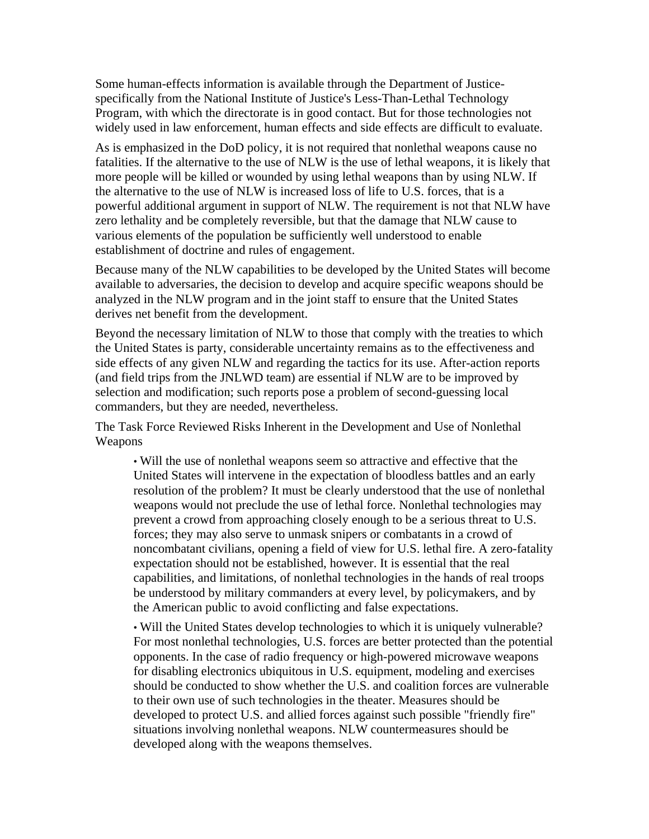Some human-effects information is available through the Department of Justicespecifically from the National Institute of Justice's Less-Than-Lethal Technology Program, with which the directorate is in good contact. But for those technologies not widely used in law enforcement, human effects and side effects are difficult to evaluate.

As is emphasized in the DoD policy, it is not required that nonlethal weapons cause no fatalities. If the alternative to the use of NLW is the use of lethal weapons, it is likely that more people will be killed or wounded by using lethal weapons than by using NLW. If the alternative to the use of NLW is increased loss of life to U.S. forces, that is a powerful additional argument in support of NLW. The requirement is not that NLW have zero lethality and be completely reversible, but that the damage that NLW cause to various elements of the population be sufficiently well understood to enable establishment of doctrine and rules of engagement.

Because many of the NLW capabilities to be developed by the United States will become available to adversaries, the decision to develop and acquire specific weapons should be analyzed in the NLW program and in the joint staff to ensure that the United States derives net benefit from the development.

Beyond the necessary limitation of NLW to those that comply with the treaties to which the United States is party, considerable uncertainty remains as to the effectiveness and side effects of any given NLW and regarding the tactics for its use. After-action reports (and field trips from the JNLWD team) are essential if NLW are to be improved by selection and modification; such reports pose a problem of second-guessing local commanders, but they are needed, nevertheless.

The Task Force Reviewed Risks Inherent in the Development and Use of Nonlethal Weapons

• Will the use of nonlethal weapons seem so attractive and effective that the United States will intervene in the expectation of bloodless battles and an early resolution of the problem? It must be clearly understood that the use of nonlethal weapons would not preclude the use of lethal force. Nonlethal technologies may prevent a crowd from approaching closely enough to be a serious threat to U.S. forces; they may also serve to unmask snipers or combatants in a crowd of noncombatant civilians, opening a field of view for U.S. lethal fire. A zero-fatality expectation should not be established, however. It is essential that the real capabilities, and limitations, of nonlethal technologies in the hands of real troops be understood by military commanders at every level, by policymakers, and by the American public to avoid conflicting and false expectations.

• Will the United States develop technologies to which it is uniquely vulnerable? For most nonlethal technologies, U.S. forces are better protected than the potential opponents. In the case of radio frequency or high-powered microwave weapons for disabling electronics ubiquitous in U.S. equipment, modeling and exercises should be conducted to show whether the U.S. and coalition forces are vulnerable to their own use of such technologies in the theater. Measures should be developed to protect U.S. and allied forces against such possible "friendly fire" situations involving nonlethal weapons. NLW countermeasures should be developed along with the weapons themselves.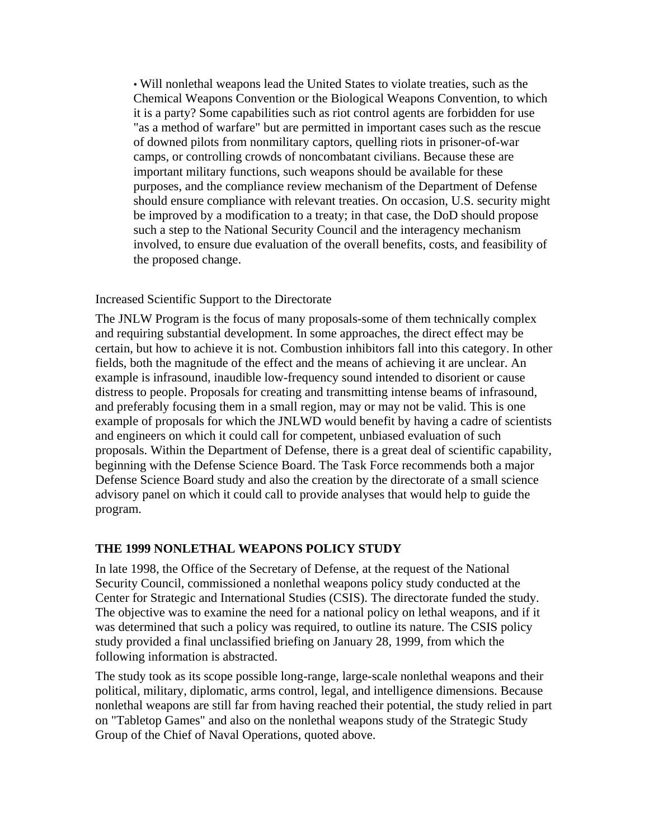• Will nonlethal weapons lead the United States to violate treaties, such as the Chemical Weapons Convention or the Biological Weapons Convention, to which it is a party? Some capabilities such as riot control agents are forbidden for use "as a method of warfare" but are permitted in important cases such as the rescue of downed pilots from nonmilitary captors, quelling riots in prisoner-of-war camps, or controlling crowds of noncombatant civilians. Because these are important military functions, such weapons should be available for these purposes, and the compliance review mechanism of the Department of Defense should ensure compliance with relevant treaties. On occasion, U.S. security might be improved by a modification to a treaty; in that case, the DoD should propose such a step to the National Security Council and the interagency mechanism involved, to ensure due evaluation of the overall benefits, costs, and feasibility of the proposed change.

### Increased Scientific Support to the Directorate

The JNLW Program is the focus of many proposals-some of them technically complex and requiring substantial development. In some approaches, the direct effect may be certain, but how to achieve it is not. Combustion inhibitors fall into this category. In other fields, both the magnitude of the effect and the means of achieving it are unclear. An example is infrasound, inaudible low-frequency sound intended to disorient or cause distress to people. Proposals for creating and transmitting intense beams of infrasound, and preferably focusing them in a small region, may or may not be valid. This is one example of proposals for which the JNLWD would benefit by having a cadre of scientists and engineers on which it could call for competent, unbiased evaluation of such proposals. Within the Department of Defense, there is a great deal of scientific capability, beginning with the Defense Science Board. The Task Force recommends both a major Defense Science Board study and also the creation by the directorate of a small science advisory panel on which it could call to provide analyses that would help to guide the program.

# **THE 1999 NONLETHAL WEAPONS POLICY STUDY**

In late 1998, the Office of the Secretary of Defense, at the request of the National Security Council, commissioned a nonlethal weapons policy study conducted at the Center for Strategic and International Studies (CSIS). The directorate funded the study. The objective was to examine the need for a national policy on lethal weapons, and if it was determined that such a policy was required, to outline its nature. The CSIS policy study provided a final unclassified briefing on January 28, 1999, from which the following information is abstracted.

The study took as its scope possible long-range, large-scale nonlethal weapons and their political, military, diplomatic, arms control, legal, and intelligence dimensions. Because nonlethal weapons are still far from having reached their potential, the study relied in part on "Tabletop Games" and also on the nonlethal weapons study of the Strategic Study Group of the Chief of Naval Operations, quoted above.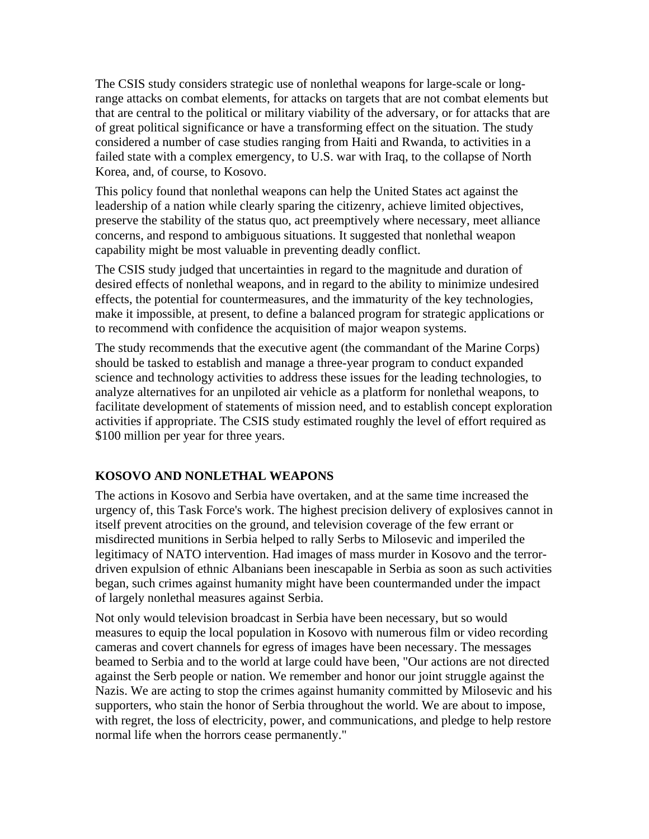The CSIS study considers strategic use of nonlethal weapons for large-scale or longrange attacks on combat elements, for attacks on targets that are not combat elements but that are central to the political or military viability of the adversary, or for attacks that are of great political significance or have a transforming effect on the situation. The study considered a number of case studies ranging from Haiti and Rwanda, to activities in a failed state with a complex emergency, to U.S. war with Iraq, to the collapse of North Korea, and, of course, to Kosovo.

This policy found that nonlethal weapons can help the United States act against the leadership of a nation while clearly sparing the citizenry, achieve limited objectives, preserve the stability of the status quo, act preemptively where necessary, meet alliance concerns, and respond to ambiguous situations. It suggested that nonlethal weapon capability might be most valuable in preventing deadly conflict.

The CSIS study judged that uncertainties in regard to the magnitude and duration of desired effects of nonlethal weapons, and in regard to the ability to minimize undesired effects, the potential for countermeasures, and the immaturity of the key technologies, make it impossible, at present, to define a balanced program for strategic applications or to recommend with confidence the acquisition of major weapon systems.

The study recommends that the executive agent (the commandant of the Marine Corps) should be tasked to establish and manage a three-year program to conduct expanded science and technology activities to address these issues for the leading technologies, to analyze alternatives for an unpiloted air vehicle as a platform for nonlethal weapons, to facilitate development of statements of mission need, and to establish concept exploration activities if appropriate. The CSIS study estimated roughly the level of effort required as \$100 million per year for three years.

# **KOSOVO AND NONLETHAL WEAPONS**

The actions in Kosovo and Serbia have overtaken, and at the same time increased the urgency of, this Task Force's work. The highest precision delivery of explosives cannot in itself prevent atrocities on the ground, and television coverage of the few errant or misdirected munitions in Serbia helped to rally Serbs to Milosevic and imperiled the legitimacy of NATO intervention. Had images of mass murder in Kosovo and the terrordriven expulsion of ethnic Albanians been inescapable in Serbia as soon as such activities began, such crimes against humanity might have been countermanded under the impact of largely nonlethal measures against Serbia.

Not only would television broadcast in Serbia have been necessary, but so would measures to equip the local population in Kosovo with numerous film or video recording cameras and covert channels for egress of images have been necessary. The messages beamed to Serbia and to the world at large could have been, "Our actions are not directed against the Serb people or nation. We remember and honor our joint struggle against the Nazis. We are acting to stop the crimes against humanity committed by Milosevic and his supporters, who stain the honor of Serbia throughout the world. We are about to impose, with regret, the loss of electricity, power, and communications, and pledge to help restore normal life when the horrors cease permanently."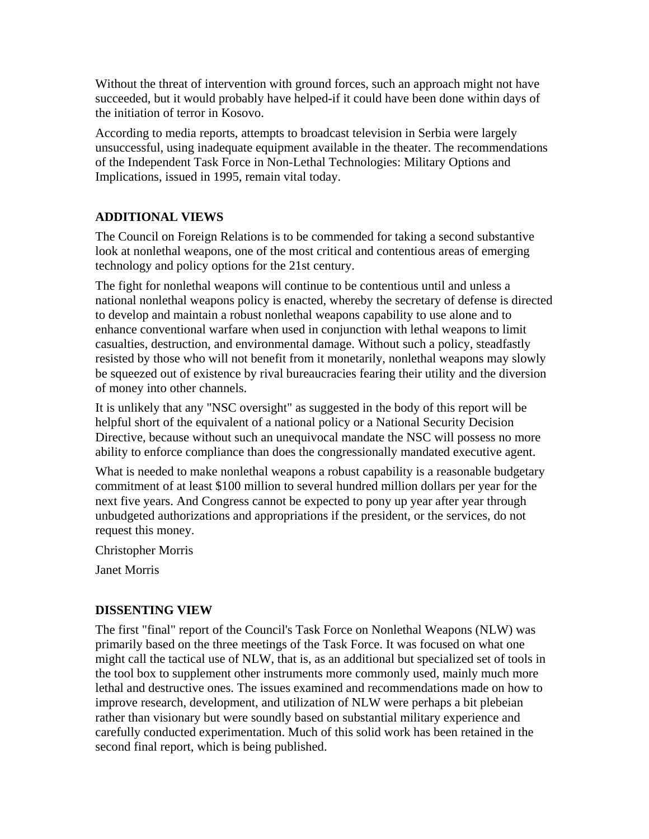Without the threat of intervention with ground forces, such an approach might not have succeeded, but it would probably have helped-if it could have been done within days of the initiation of terror in Kosovo.

According to media reports, attempts to broadcast television in Serbia were largely unsuccessful, using inadequate equipment available in the theater. The recommendations of the Independent Task Force in Non-Lethal Technologies: Military Options and Implications, issued in 1995, remain vital today.

# **ADDITIONAL VIEWS**

The Council on Foreign Relations is to be commended for taking a second substantive look at nonlethal weapons, one of the most critical and contentious areas of emerging technology and policy options for the 21st century.

The fight for nonlethal weapons will continue to be contentious until and unless a national nonlethal weapons policy is enacted, whereby the secretary of defense is directed to develop and maintain a robust nonlethal weapons capability to use alone and to enhance conventional warfare when used in conjunction with lethal weapons to limit casualties, destruction, and environmental damage. Without such a policy, steadfastly resisted by those who will not benefit from it monetarily, nonlethal weapons may slowly be squeezed out of existence by rival bureaucracies fearing their utility and the diversion of money into other channels.

It is unlikely that any "NSC oversight" as suggested in the body of this report will be helpful short of the equivalent of a national policy or a National Security Decision Directive, because without such an unequivocal mandate the NSC will possess no more ability to enforce compliance than does the congressionally mandated executive agent.

What is needed to make nonlethal weapons a robust capability is a reasonable budgetary commitment of at least \$100 million to several hundred million dollars per year for the next five years. And Congress cannot be expected to pony up year after year through unbudgeted authorizations and appropriations if the president, or the services, do not request this money.

Christopher Morris

Janet Morris

# **DISSENTING VIEW**

The first "final" report of the Council's Task Force on Nonlethal Weapons (NLW) was primarily based on the three meetings of the Task Force. It was focused on what one might call the tactical use of NLW, that is, as an additional but specialized set of tools in the tool box to supplement other instruments more commonly used, mainly much more lethal and destructive ones. The issues examined and recommendations made on how to improve research, development, and utilization of NLW were perhaps a bit plebeian rather than visionary but were soundly based on substantial military experience and carefully conducted experimentation. Much of this solid work has been retained in the second final report, which is being published.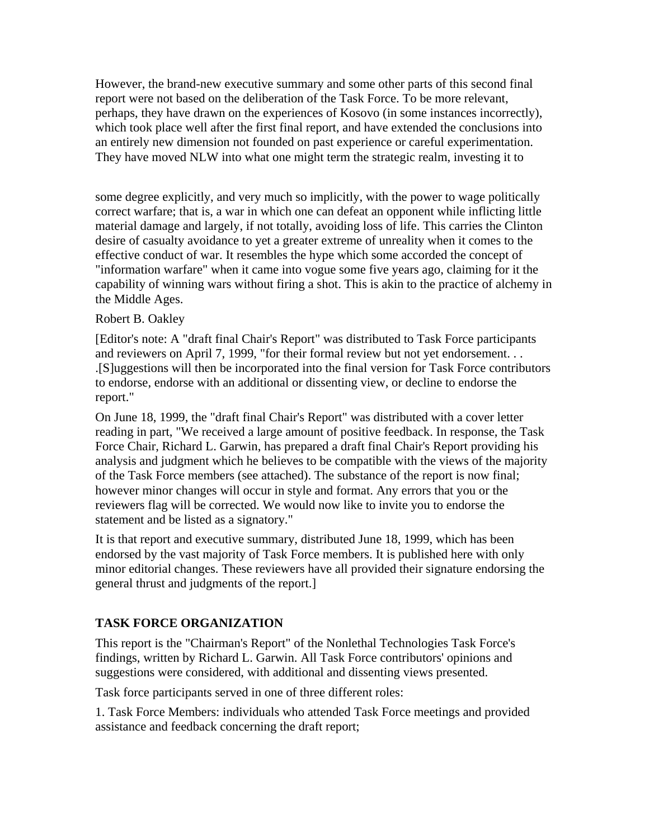However, the brand-new executive summary and some other parts of this second final report were not based on the deliberation of the Task Force. To be more relevant, perhaps, they have drawn on the experiences of Kosovo (in some instances incorrectly), which took place well after the first final report, and have extended the conclusions into an entirely new dimension not founded on past experience or careful experimentation. They have moved NLW into what one might term the strategic realm, investing it to

some degree explicitly, and very much so implicitly, with the power to wage politically correct warfare; that is, a war in which one can defeat an opponent while inflicting little material damage and largely, if not totally, avoiding loss of life. This carries the Clinton desire of casualty avoidance to yet a greater extreme of unreality when it comes to the effective conduct of war. It resembles the hype which some accorded the concept of "information warfare" when it came into vogue some five years ago, claiming for it the capability of winning wars without firing a shot. This is akin to the practice of alchemy in the Middle Ages.

### Robert B. Oakley

[Editor's note: A "draft final Chair's Report" was distributed to Task Force participants and reviewers on April 7, 1999, "for their formal review but not yet endorsement. . . .[S]uggestions will then be incorporated into the final version for Task Force contributors to endorse, endorse with an additional or dissenting view, or decline to endorse the report."

On June 18, 1999, the "draft final Chair's Report" was distributed with a cover letter reading in part, "We received a large amount of positive feedback. In response, the Task Force Chair, Richard L. Garwin, has prepared a draft final Chair's Report providing his analysis and judgment which he believes to be compatible with the views of the majority of the Task Force members (see attached). The substance of the report is now final; however minor changes will occur in style and format. Any errors that you or the reviewers flag will be corrected. We would now like to invite you to endorse the statement and be listed as a signatory."

It is that report and executive summary, distributed June 18, 1999, which has been endorsed by the vast majority of Task Force members. It is published here with only minor editorial changes. These reviewers have all provided their signature endorsing the general thrust and judgments of the report.]

# **TASK FORCE ORGANIZATION**

This report is the "Chairman's Report" of the Nonlethal Technologies Task Force's findings, written by Richard L. Garwin. All Task Force contributors' opinions and suggestions were considered, with additional and dissenting views presented.

Task force participants served in one of three different roles:

1. Task Force Members: individuals who attended Task Force meetings and provided assistance and feedback concerning the draft report;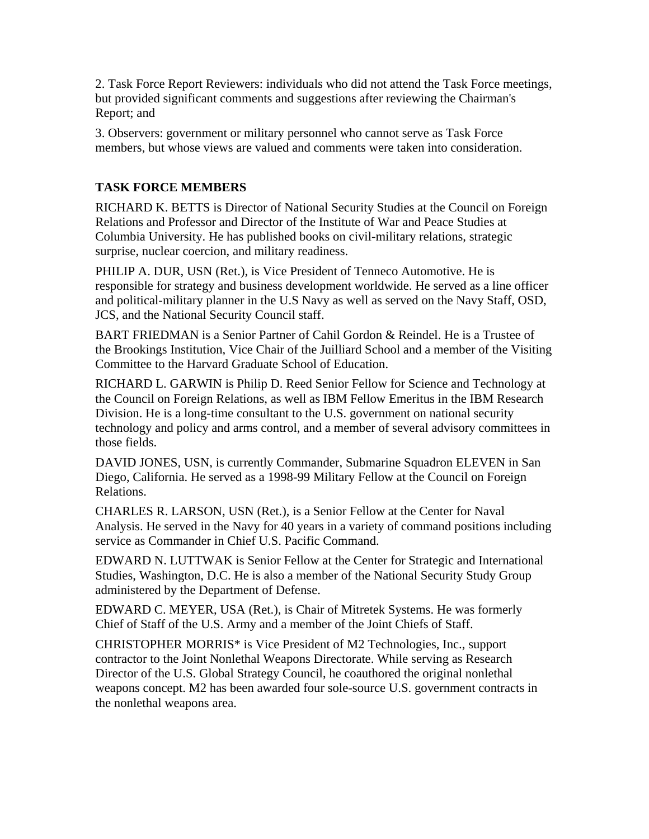2. Task Force Report Reviewers: individuals who did not attend the Task Force meetings, but provided significant comments and suggestions after reviewing the Chairman's Report; and

3. Observers: government or military personnel who cannot serve as Task Force members, but whose views are valued and comments were taken into consideration.

# **TASK FORCE MEMBERS**

RICHARD K. BETTS is Director of National Security Studies at the Council on Foreign Relations and Professor and Director of the Institute of War and Peace Studies at Columbia University. He has published books on civil-military relations, strategic surprise, nuclear coercion, and military readiness.

PHILIP A. DUR, USN (Ret.), is Vice President of Tenneco Automotive. He is responsible for strategy and business development worldwide. He served as a line officer and political-military planner in the U.S Navy as well as served on the Navy Staff, OSD, JCS, and the National Security Council staff.

BART FRIEDMAN is a Senior Partner of Cahil Gordon & Reindel. He is a Trustee of the Brookings Institution, Vice Chair of the Juilliard School and a member of the Visiting Committee to the Harvard Graduate School of Education.

RICHARD L. GARWIN is Philip D. Reed Senior Fellow for Science and Technology at the Council on Foreign Relations, as well as IBM Fellow Emeritus in the IBM Research Division. He is a long-time consultant to the U.S. government on national security technology and policy and arms control, and a member of several advisory committees in those fields.

DAVID JONES, USN, is currently Commander, Submarine Squadron ELEVEN in San Diego, California. He served as a 1998-99 Military Fellow at the Council on Foreign Relations.

CHARLES R. LARSON, USN (Ret.), is a Senior Fellow at the Center for Naval Analysis. He served in the Navy for 40 years in a variety of command positions including service as Commander in Chief U.S. Pacific Command.

EDWARD N. LUTTWAK is Senior Fellow at the Center for Strategic and International Studies, Washington, D.C. He is also a member of the National Security Study Group administered by the Department of Defense.

EDWARD C. MEYER, USA (Ret.), is Chair of Mitretek Systems. He was formerly Chief of Staff of the U.S. Army and a member of the Joint Chiefs of Staff.

CHRISTOPHER MORRIS\* is Vice President of M2 Technologies, Inc., support contractor to the Joint Nonlethal Weapons Directorate. While serving as Research Director of the U.S. Global Strategy Council, he coauthored the original nonlethal weapons concept. M2 has been awarded four sole-source U.S. government contracts in the nonlethal weapons area.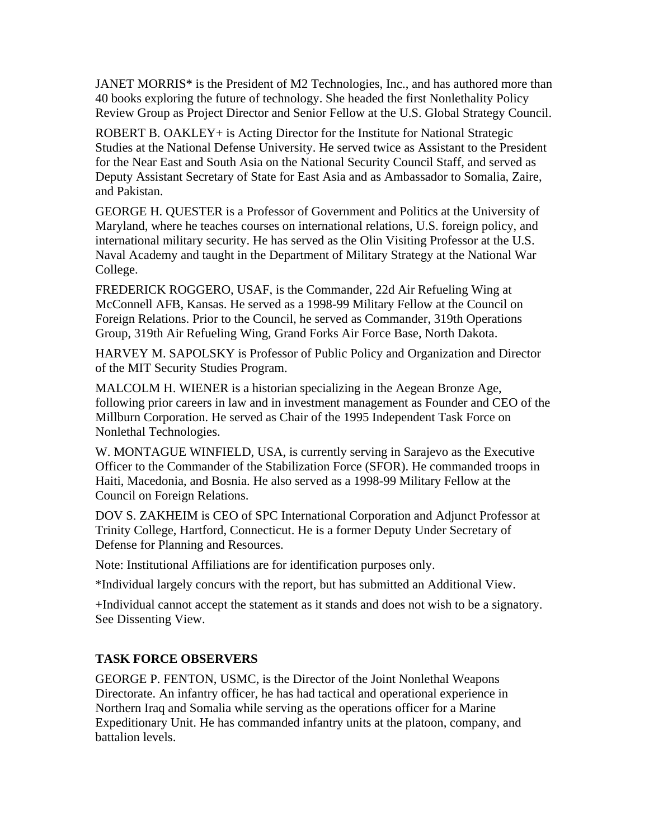JANET MORRIS\* is the President of M2 Technologies, Inc., and has authored more than 40 books exploring the future of technology. She headed the first Nonlethality Policy Review Group as Project Director and Senior Fellow at the U.S. Global Strategy Council.

ROBERT B. OAKLEY+ is Acting Director for the Institute for National Strategic Studies at the National Defense University. He served twice as Assistant to the President for the Near East and South Asia on the National Security Council Staff, and served as Deputy Assistant Secretary of State for East Asia and as Ambassador to Somalia, Zaire, and Pakistan.

GEORGE H. QUESTER is a Professor of Government and Politics at the University of Maryland, where he teaches courses on international relations, U.S. foreign policy, and international military security. He has served as the Olin Visiting Professor at the U.S. Naval Academy and taught in the Department of Military Strategy at the National War College.

FREDERICK ROGGERO, USAF, is the Commander, 22d Air Refueling Wing at McConnell AFB, Kansas. He served as a 1998-99 Military Fellow at the Council on Foreign Relations. Prior to the Council, he served as Commander, 319th Operations Group, 319th Air Refueling Wing, Grand Forks Air Force Base, North Dakota.

HARVEY M. SAPOLSKY is Professor of Public Policy and Organization and Director of the MIT Security Studies Program.

MALCOLM H. WIENER is a historian specializing in the Aegean Bronze Age, following prior careers in law and in investment management as Founder and CEO of the Millburn Corporation. He served as Chair of the 1995 Independent Task Force on Nonlethal Technologies.

W. MONTAGUE WINFIELD, USA, is currently serving in Sarajevo as the Executive Officer to the Commander of the Stabilization Force (SFOR). He commanded troops in Haiti, Macedonia, and Bosnia. He also served as a 1998-99 Military Fellow at the Council on Foreign Relations.

DOV S. ZAKHEIM is CEO of SPC International Corporation and Adjunct Professor at Trinity College, Hartford, Connecticut. He is a former Deputy Under Secretary of Defense for Planning and Resources.

Note: Institutional Affiliations are for identification purposes only.

\*Individual largely concurs with the report, but has submitted an Additional View.

+Individual cannot accept the statement as it stands and does not wish to be a signatory. See Dissenting View.

# **TASK FORCE OBSERVERS**

GEORGE P. FENTON, USMC, is the Director of the Joint Nonlethal Weapons Directorate. An infantry officer, he has had tactical and operational experience in Northern Iraq and Somalia while serving as the operations officer for a Marine Expeditionary Unit. He has commanded infantry units at the platoon, company, and battalion levels.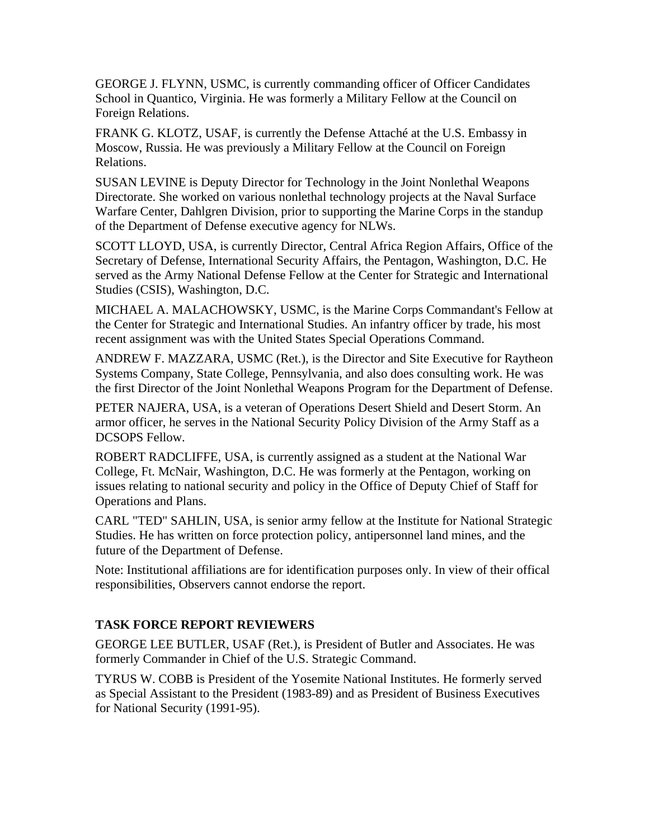GEORGE J. FLYNN, USMC, is currently commanding officer of Officer Candidates School in Quantico, Virginia. He was formerly a Military Fellow at the Council on Foreign Relations.

FRANK G. KLOTZ, USAF, is currently the Defense Attaché at the U.S. Embassy in Moscow, Russia. He was previously a Military Fellow at the Council on Foreign Relations.

SUSAN LEVINE is Deputy Director for Technology in the Joint Nonlethal Weapons Directorate. She worked on various nonlethal technology projects at the Naval Surface Warfare Center, Dahlgren Division, prior to supporting the Marine Corps in the standup of the Department of Defense executive agency for NLWs.

SCOTT LLOYD, USA, is currently Director, Central Africa Region Affairs, Office of the Secretary of Defense, International Security Affairs, the Pentagon, Washington, D.C. He served as the Army National Defense Fellow at the Center for Strategic and International Studies (CSIS), Washington, D.C.

MICHAEL A. MALACHOWSKY, USMC, is the Marine Corps Commandant's Fellow at the Center for Strategic and International Studies. An infantry officer by trade, his most recent assignment was with the United States Special Operations Command.

ANDREW F. MAZZARA, USMC (Ret.), is the Director and Site Executive for Raytheon Systems Company, State College, Pennsylvania, and also does consulting work. He was the first Director of the Joint Nonlethal Weapons Program for the Department of Defense.

PETER NAJERA, USA, is a veteran of Operations Desert Shield and Desert Storm. An armor officer, he serves in the National Security Policy Division of the Army Staff as a DCSOPS Fellow.

ROBERT RADCLIFFE, USA, is currently assigned as a student at the National War College, Ft. McNair, Washington, D.C. He was formerly at the Pentagon, working on issues relating to national security and policy in the Office of Deputy Chief of Staff for Operations and Plans.

CARL "TED" SAHLIN, USA, is senior army fellow at the Institute for National Strategic Studies. He has written on force protection policy, antipersonnel land mines, and the future of the Department of Defense.

Note: Institutional affiliations are for identification purposes only. In view of their offical responsibilities, Observers cannot endorse the report.

# **TASK FORCE REPORT REVIEWERS**

GEORGE LEE BUTLER, USAF (Ret.), is President of Butler and Associates. He was formerly Commander in Chief of the U.S. Strategic Command.

TYRUS W. COBB is President of the Yosemite National Institutes. He formerly served as Special Assistant to the President (1983-89) and as President of Business Executives for National Security (1991-95).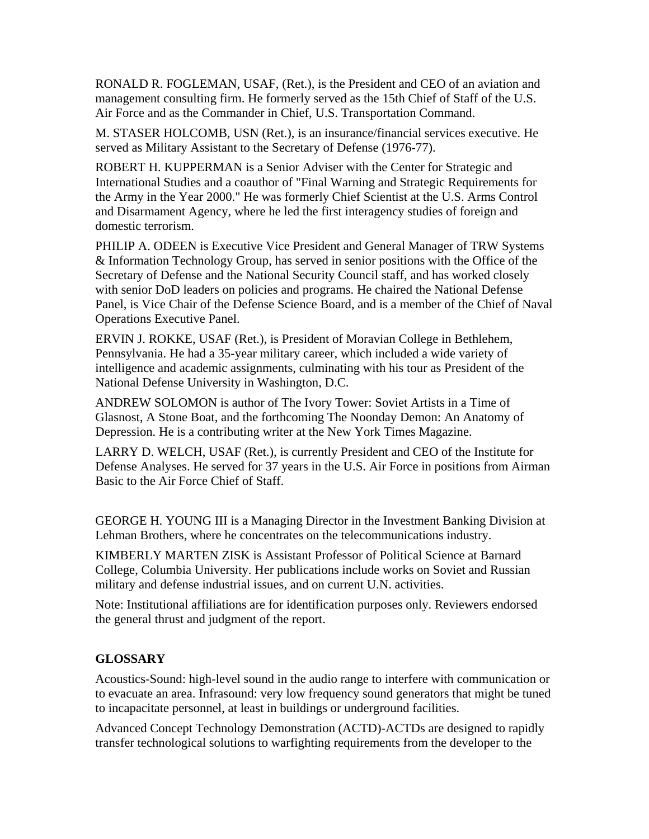RONALD R. FOGLEMAN, USAF, (Ret.), is the President and CEO of an aviation and management consulting firm. He formerly served as the 15th Chief of Staff of the U.S. Air Force and as the Commander in Chief, U.S. Transportation Command.

M. STASER HOLCOMB, USN (Ret.), is an insurance/financial services executive. He served as Military Assistant to the Secretary of Defense (1976-77).

ROBERT H. KUPPERMAN is a Senior Adviser with the Center for Strategic and International Studies and a coauthor of "Final Warning and Strategic Requirements for the Army in the Year 2000." He was formerly Chief Scientist at the U.S. Arms Control and Disarmament Agency, where he led the first interagency studies of foreign and domestic terrorism.

PHILIP A. ODEEN is Executive Vice President and General Manager of TRW Systems & Information Technology Group, has served in senior positions with the Office of the Secretary of Defense and the National Security Council staff, and has worked closely with senior DoD leaders on policies and programs. He chaired the National Defense Panel, is Vice Chair of the Defense Science Board, and is a member of the Chief of Naval Operations Executive Panel.

ERVIN J. ROKKE, USAF (Ret.), is President of Moravian College in Bethlehem, Pennsylvania. He had a 35-year military career, which included a wide variety of intelligence and academic assignments, culminating with his tour as President of the National Defense University in Washington, D.C.

ANDREW SOLOMON is author of The Ivory Tower: Soviet Artists in a Time of Glasnost, A Stone Boat, and the forthcoming The Noonday Demon: An Anatomy of Depression. He is a contributing writer at the New York Times Magazine.

LARRY D. WELCH, USAF (Ret.), is currently President and CEO of the Institute for Defense Analyses. He served for 37 years in the U.S. Air Force in positions from Airman Basic to the Air Force Chief of Staff.

GEORGE H. YOUNG III is a Managing Director in the Investment Banking Division at Lehman Brothers, where he concentrates on the telecommunications industry.

KIMBERLY MARTEN ZISK is Assistant Professor of Political Science at Barnard College, Columbia University. Her publications include works on Soviet and Russian military and defense industrial issues, and on current U.N. activities.

Note: Institutional affiliations are for identification purposes only. Reviewers endorsed the general thrust and judgment of the report.

# **GLOSSARY**

Acoustics-Sound: high-level sound in the audio range to interfere with communication or to evacuate an area. Infrasound: very low frequency sound generators that might be tuned to incapacitate personnel, at least in buildings or underground facilities.

Advanced Concept Technology Demonstration (ACTD)-ACTDs are designed to rapidly transfer technological solutions to warfighting requirements from the developer to the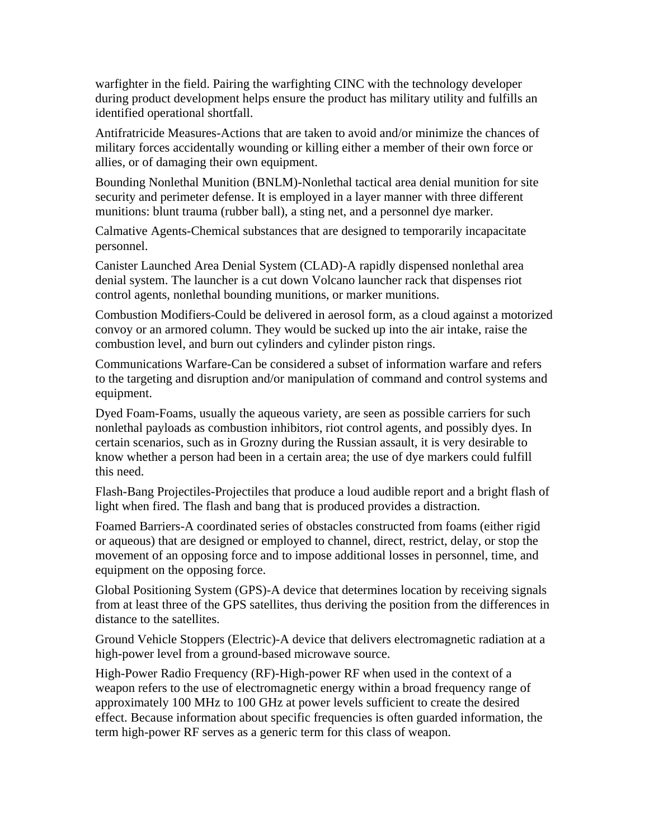warfighter in the field. Pairing the warfighting CINC with the technology developer during product development helps ensure the product has military utility and fulfills an identified operational shortfall.

Antifratricide Measures-Actions that are taken to avoid and/or minimize the chances of military forces accidentally wounding or killing either a member of their own force or allies, or of damaging their own equipment.

Bounding Nonlethal Munition (BNLM)-Nonlethal tactical area denial munition for site security and perimeter defense. It is employed in a layer manner with three different munitions: blunt trauma (rubber ball), a sting net, and a personnel dye marker.

Calmative Agents-Chemical substances that are designed to temporarily incapacitate personnel.

Canister Launched Area Denial System (CLAD)-A rapidly dispensed nonlethal area denial system. The launcher is a cut down Volcano launcher rack that dispenses riot control agents, nonlethal bounding munitions, or marker munitions.

Combustion Modifiers-Could be delivered in aerosol form, as a cloud against a motorized convoy or an armored column. They would be sucked up into the air intake, raise the combustion level, and burn out cylinders and cylinder piston rings.

Communications Warfare-Can be considered a subset of information warfare and refers to the targeting and disruption and/or manipulation of command and control systems and equipment.

Dyed Foam-Foams, usually the aqueous variety, are seen as possible carriers for such nonlethal payloads as combustion inhibitors, riot control agents, and possibly dyes. In certain scenarios, such as in Grozny during the Russian assault, it is very desirable to know whether a person had been in a certain area; the use of dye markers could fulfill this need.

Flash-Bang Projectiles-Projectiles that produce a loud audible report and a bright flash of light when fired. The flash and bang that is produced provides a distraction.

Foamed Barriers-A coordinated series of obstacles constructed from foams (either rigid or aqueous) that are designed or employed to channel, direct, restrict, delay, or stop the movement of an opposing force and to impose additional losses in personnel, time, and equipment on the opposing force.

Global Positioning System (GPS)-A device that determines location by receiving signals from at least three of the GPS satellites, thus deriving the position from the differences in distance to the satellites.

Ground Vehicle Stoppers (Electric)-A device that delivers electromagnetic radiation at a high-power level from a ground-based microwave source.

High-Power Radio Frequency (RF)-High-power RF when used in the context of a weapon refers to the use of electromagnetic energy within a broad frequency range of approximately 100 MHz to 100 GHz at power levels sufficient to create the desired effect. Because information about specific frequencies is often guarded information, the term high-power RF serves as a generic term for this class of weapon.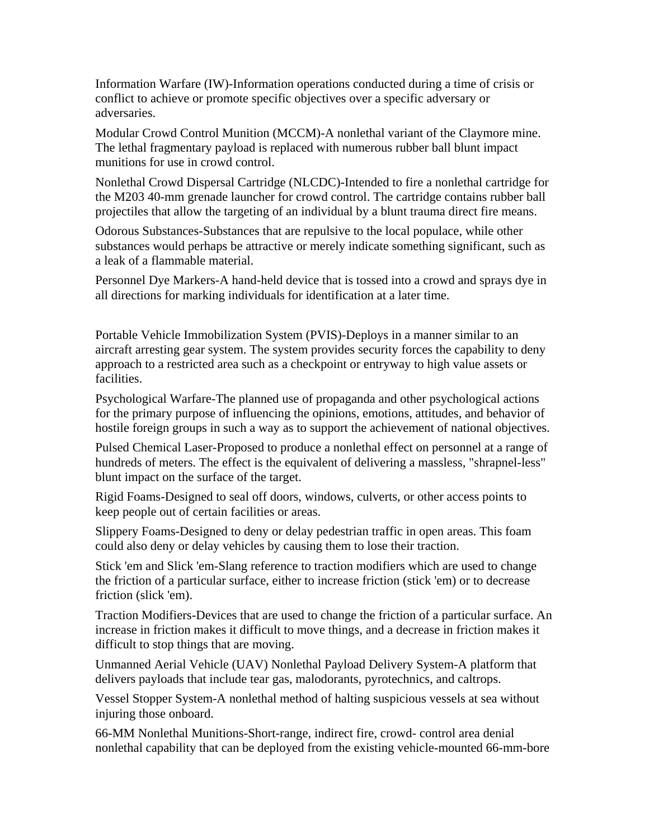Information Warfare (IW)-Information operations conducted during a time of crisis or conflict to achieve or promote specific objectives over a specific adversary or adversaries.

Modular Crowd Control Munition (MCCM)-A nonlethal variant of the Claymore mine. The lethal fragmentary payload is replaced with numerous rubber ball blunt impact munitions for use in crowd control.

Nonlethal Crowd Dispersal Cartridge (NLCDC)-Intended to fire a nonlethal cartridge for the M203 40-mm grenade launcher for crowd control. The cartridge contains rubber ball projectiles that allow the targeting of an individual by a blunt trauma direct fire means.

Odorous Substances-Substances that are repulsive to the local populace, while other substances would perhaps be attractive or merely indicate something significant, such as a leak of a flammable material.

Personnel Dye Markers-A hand-held device that is tossed into a crowd and sprays dye in all directions for marking individuals for identification at a later time.

Portable Vehicle Immobilization System (PVIS)-Deploys in a manner similar to an aircraft arresting gear system. The system provides security forces the capability to deny approach to a restricted area such as a checkpoint or entryway to high value assets or facilities.

Psychological Warfare-The planned use of propaganda and other psychological actions for the primary purpose of influencing the opinions, emotions, attitudes, and behavior of hostile foreign groups in such a way as to support the achievement of national objectives.

Pulsed Chemical Laser-Proposed to produce a nonlethal effect on personnel at a range of hundreds of meters. The effect is the equivalent of delivering a massless, "shrapnel-less" blunt impact on the surface of the target.

Rigid Foams-Designed to seal off doors, windows, culverts, or other access points to keep people out of certain facilities or areas.

Slippery Foams-Designed to deny or delay pedestrian traffic in open areas. This foam could also deny or delay vehicles by causing them to lose their traction.

Stick 'em and Slick 'em-Slang reference to traction modifiers which are used to change the friction of a particular surface, either to increase friction (stick 'em) or to decrease friction (slick 'em).

Traction Modifiers-Devices that are used to change the friction of a particular surface. An increase in friction makes it difficult to move things, and a decrease in friction makes it difficult to stop things that are moving.

Unmanned Aerial Vehicle (UAV) Nonlethal Payload Delivery System-A platform that delivers payloads that include tear gas, malodorants, pyrotechnics, and caltrops.

Vessel Stopper System-A nonlethal method of halting suspicious vessels at sea without injuring those onboard.

66-MM Nonlethal Munitions-Short-range, indirect fire, crowd- control area denial nonlethal capability that can be deployed from the existing vehicle-mounted 66-mm-bore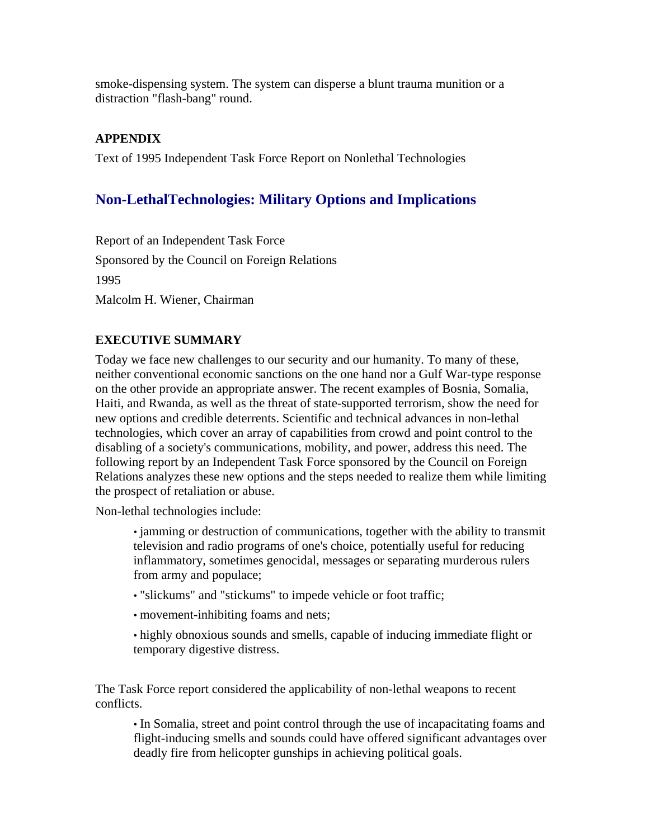smoke-dispensing system. The system can disperse a blunt trauma munition or a distraction "flash-bang" round.

# **APPENDIX**

Text of 1995 Independent Task Force Report on Nonlethal Technologies

# **Non-LethalTechnologies: Military Options and Implications**

Report of an Independent Task Force Sponsored by the Council on Foreign Relations 1995 Malcolm H. Wiener, Chairman

# **EXECUTIVE SUMMARY**

Today we face new challenges to our security and our humanity. To many of these, neither conventional economic sanctions on the one hand nor a Gulf War-type response on the other provide an appropriate answer. The recent examples of Bosnia, Somalia, Haiti, and Rwanda, as well as the threat of state-supported terrorism, show the need for new options and credible deterrents. Scientific and technical advances in non-lethal technologies, which cover an array of capabilities from crowd and point control to the disabling of a society's communications, mobility, and power, address this need. The following report by an Independent Task Force sponsored by the Council on Foreign Relations analyzes these new options and the steps needed to realize them while limiting the prospect of retaliation or abuse.

Non-lethal technologies include:

• jamming or destruction of communications, together with the ability to transmit television and radio programs of one's choice, potentially useful for reducing inflammatory, sometimes genocidal, messages or separating murderous rulers from army and populace;

- "slickums" and "stickums" to impede vehicle or foot traffic;
- movement-inhibiting foams and nets;

• highly obnoxious sounds and smells, capable of inducing immediate flight or temporary digestive distress.

The Task Force report considered the applicability of non-lethal weapons to recent conflicts.

• In Somalia, street and point control through the use of incapacitating foams and flight-inducing smells and sounds could have offered significant advantages over deadly fire from helicopter gunships in achieving political goals.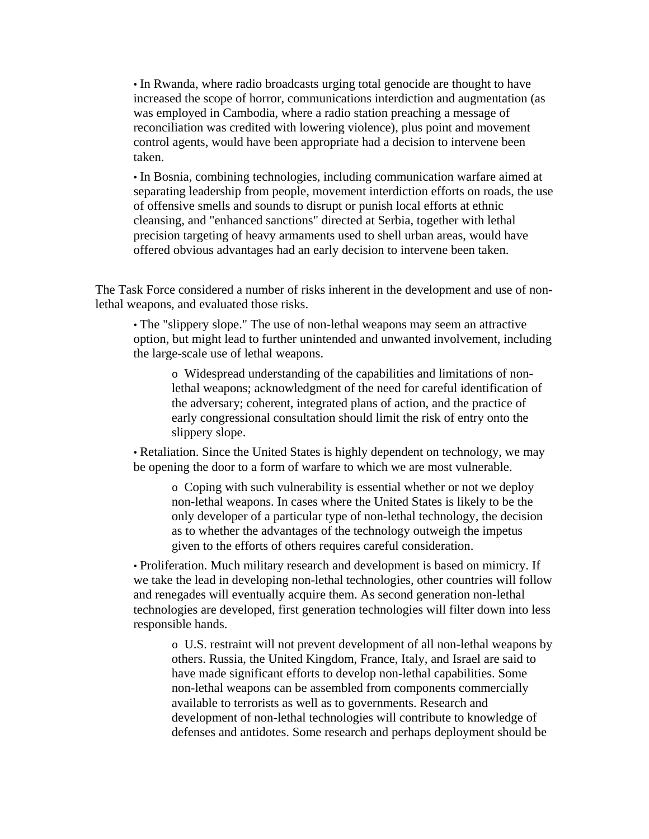• In Rwanda, where radio broadcasts urging total genocide are thought to have increased the scope of horror, communications interdiction and augmentation (as was employed in Cambodia, where a radio station preaching a message of reconciliation was credited with lowering violence), plus point and movement control agents, would have been appropriate had a decision to intervene been taken.

• In Bosnia, combining technologies, including communication warfare aimed at separating leadership from people, movement interdiction efforts on roads, the use of offensive smells and sounds to disrupt or punish local efforts at ethnic cleansing, and "enhanced sanctions" directed at Serbia, together with lethal precision targeting of heavy armaments used to shell urban areas, would have offered obvious advantages had an early decision to intervene been taken.

The Task Force considered a number of risks inherent in the development and use of nonlethal weapons, and evaluated those risks.

• The "slippery slope." The use of non-lethal weapons may seem an attractive option, but might lead to further unintended and unwanted involvement, including the large-scale use of lethal weapons.

o Widespread understanding of the capabilities and limitations of nonlethal weapons; acknowledgment of the need for careful identification of the adversary; coherent, integrated plans of action, and the practice of early congressional consultation should limit the risk of entry onto the slippery slope.

• Retaliation. Since the United States is highly dependent on technology, we may be opening the door to a form of warfare to which we are most vulnerable.

o Coping with such vulnerability is essential whether or not we deploy non-lethal weapons. In cases where the United States is likely to be the only developer of a particular type of non-lethal technology, the decision as to whether the advantages of the technology outweigh the impetus given to the efforts of others requires careful consideration.

• Proliferation. Much military research and development is based on mimicry. If we take the lead in developing non-lethal technologies, other countries will follow and renegades will eventually acquire them. As second generation non-lethal technologies are developed, first generation technologies will filter down into less responsible hands.

o U.S. restraint will not prevent development of all non-lethal weapons by others. Russia, the United Kingdom, France, Italy, and Israel are said to have made significant efforts to develop non-lethal capabilities. Some non-lethal weapons can be assembled from components commercially available to terrorists as well as to governments. Research and development of non-lethal technologies will contribute to knowledge of defenses and antidotes. Some research and perhaps deployment should be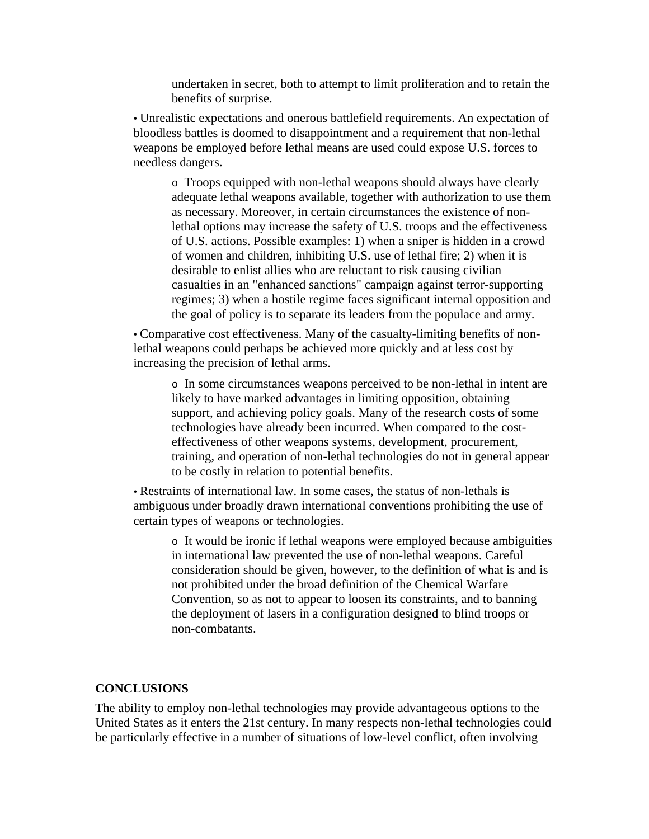undertaken in secret, both to attempt to limit proliferation and to retain the benefits of surprise.

• Unrealistic expectations and onerous battlefield requirements. An expectation of bloodless battles is doomed to disappointment and a requirement that non-lethal weapons be employed before lethal means are used could expose U.S. forces to needless dangers.

o Troops equipped with non-lethal weapons should always have clearly adequate lethal weapons available, together with authorization to use them as necessary. Moreover, in certain circumstances the existence of nonlethal options may increase the safety of U.S. troops and the effectiveness of U.S. actions. Possible examples: 1) when a sniper is hidden in a crowd of women and children, inhibiting U.S. use of lethal fire; 2) when it is desirable to enlist allies who are reluctant to risk causing civilian casualties in an "enhanced sanctions" campaign against terror-supporting regimes; 3) when a hostile regime faces significant internal opposition and the goal of policy is to separate its leaders from the populace and army.

• Comparative cost effectiveness. Many of the casualty-limiting benefits of nonlethal weapons could perhaps be achieved more quickly and at less cost by increasing the precision of lethal arms.

o In some circumstances weapons perceived to be non-lethal in intent are likely to have marked advantages in limiting opposition, obtaining support, and achieving policy goals. Many of the research costs of some technologies have already been incurred. When compared to the costeffectiveness of other weapons systems, development, procurement, training, and operation of non-lethal technologies do not in general appear to be costly in relation to potential benefits.

• Restraints of international law. In some cases, the status of non-lethals is ambiguous under broadly drawn international conventions prohibiting the use of certain types of weapons or technologies.

o It would be ironic if lethal weapons were employed because ambiguities in international law prevented the use of non-lethal weapons. Careful consideration should be given, however, to the definition of what is and is not prohibited under the broad definition of the Chemical Warfare Convention, so as not to appear to loosen its constraints, and to banning the deployment of lasers in a configuration designed to blind troops or non-combatants.

#### **CONCLUSIONS**

The ability to employ non-lethal technologies may provide advantageous options to the United States as it enters the 21st century. In many respects non-lethal technologies could be particularly effective in a number of situations of low-level conflict, often involving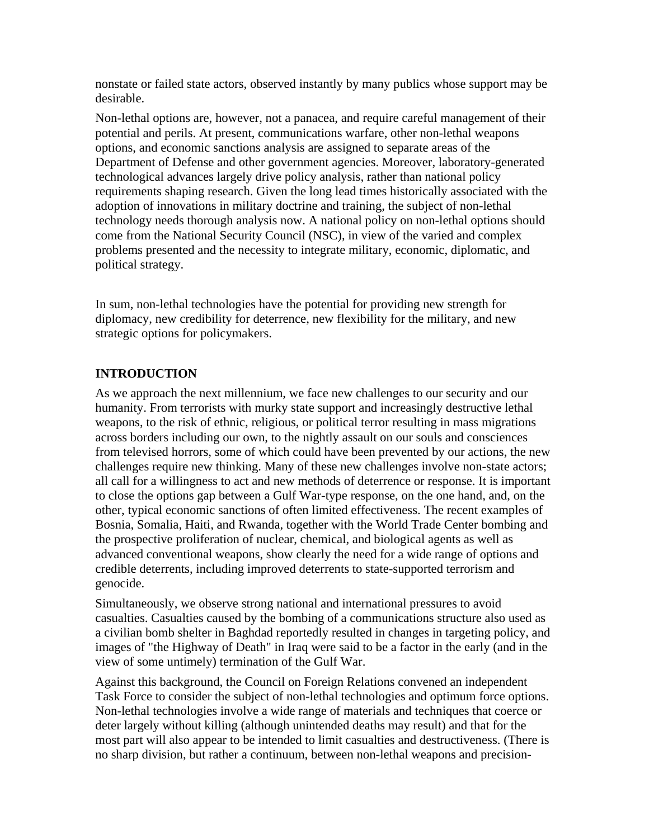nonstate or failed state actors, observed instantly by many publics whose support may be desirable.

Non-lethal options are, however, not a panacea, and require careful management of their potential and perils. At present, communications warfare, other non-lethal weapons options, and economic sanctions analysis are assigned to separate areas of the Department of Defense and other government agencies. Moreover, laboratory-generated technological advances largely drive policy analysis, rather than national policy requirements shaping research. Given the long lead times historically associated with the adoption of innovations in military doctrine and training, the subject of non-lethal technology needs thorough analysis now. A national policy on non-lethal options should come from the National Security Council (NSC), in view of the varied and complex problems presented and the necessity to integrate military, economic, diplomatic, and political strategy.

In sum, non-lethal technologies have the potential for providing new strength for diplomacy, new credibility for deterrence, new flexibility for the military, and new strategic options for policymakers.

# **INTRODUCTION**

As we approach the next millennium, we face new challenges to our security and our humanity. From terrorists with murky state support and increasingly destructive lethal weapons, to the risk of ethnic, religious, or political terror resulting in mass migrations across borders including our own, to the nightly assault on our souls and consciences from televised horrors, some of which could have been prevented by our actions, the new challenges require new thinking. Many of these new challenges involve non-state actors; all call for a willingness to act and new methods of deterrence or response. It is important to close the options gap between a Gulf War-type response, on the one hand, and, on the other, typical economic sanctions of often limited effectiveness. The recent examples of Bosnia, Somalia, Haiti, and Rwanda, together with the World Trade Center bombing and the prospective proliferation of nuclear, chemical, and biological agents as well as advanced conventional weapons, show clearly the need for a wide range of options and credible deterrents, including improved deterrents to state-supported terrorism and genocide.

Simultaneously, we observe strong national and international pressures to avoid casualties. Casualties caused by the bombing of a communications structure also used as a civilian bomb shelter in Baghdad reportedly resulted in changes in targeting policy, and images of "the Highway of Death" in Iraq were said to be a factor in the early (and in the view of some untimely) termination of the Gulf War.

Against this background, the Council on Foreign Relations convened an independent Task Force to consider the subject of non-lethal technologies and optimum force options. Non-lethal technologies involve a wide range of materials and techniques that coerce or deter largely without killing (although unintended deaths may result) and that for the most part will also appear to be intended to limit casualties and destructiveness. (There is no sharp division, but rather a continuum, between non-lethal weapons and precision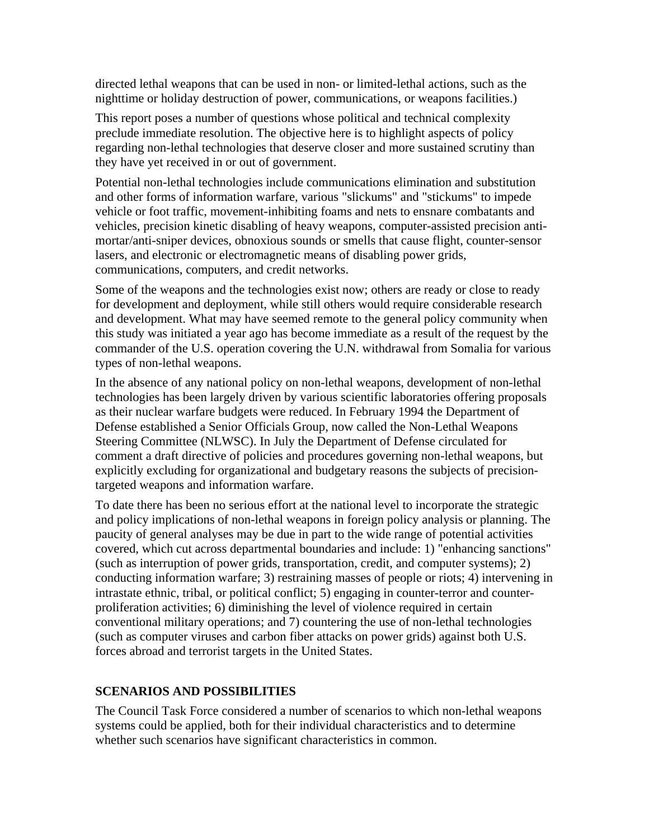directed lethal weapons that can be used in non- or limited-lethal actions, such as the nighttime or holiday destruction of power, communications, or weapons facilities.)

This report poses a number of questions whose political and technical complexity preclude immediate resolution. The objective here is to highlight aspects of policy regarding non-lethal technologies that deserve closer and more sustained scrutiny than they have yet received in or out of government.

Potential non-lethal technologies include communications elimination and substitution and other forms of information warfare, various "slickums" and "stickums" to impede vehicle or foot traffic, movement-inhibiting foams and nets to ensnare combatants and vehicles, precision kinetic disabling of heavy weapons, computer-assisted precision antimortar/anti-sniper devices, obnoxious sounds or smells that cause flight, counter-sensor lasers, and electronic or electromagnetic means of disabling power grids, communications, computers, and credit networks.

Some of the weapons and the technologies exist now; others are ready or close to ready for development and deployment, while still others would require considerable research and development. What may have seemed remote to the general policy community when this study was initiated a year ago has become immediate as a result of the request by the commander of the U.S. operation covering the U.N. withdrawal from Somalia for various types of non-lethal weapons.

In the absence of any national policy on non-lethal weapons, development of non-lethal technologies has been largely driven by various scientific laboratories offering proposals as their nuclear warfare budgets were reduced. In February 1994 the Department of Defense established a Senior Officials Group, now called the Non-Lethal Weapons Steering Committee (NLWSC). In July the Department of Defense circulated for comment a draft directive of policies and procedures governing non-lethal weapons, but explicitly excluding for organizational and budgetary reasons the subjects of precisiontargeted weapons and information warfare.

To date there has been no serious effort at the national level to incorporate the strategic and policy implications of non-lethal weapons in foreign policy analysis or planning. The paucity of general analyses may be due in part to the wide range of potential activities covered, which cut across departmental boundaries and include: 1) "enhancing sanctions" (such as interruption of power grids, transportation, credit, and computer systems); 2) conducting information warfare; 3) restraining masses of people or riots; 4) intervening in intrastate ethnic, tribal, or political conflict; 5) engaging in counter-terror and counterproliferation activities; 6) diminishing the level of violence required in certain conventional military operations; and 7) countering the use of non-lethal technologies (such as computer viruses and carbon fiber attacks on power grids) against both U.S. forces abroad and terrorist targets in the United States.

# **SCENARIOS AND POSSIBILITIES**

The Council Task Force considered a number of scenarios to which non-lethal weapons systems could be applied, both for their individual characteristics and to determine whether such scenarios have significant characteristics in common.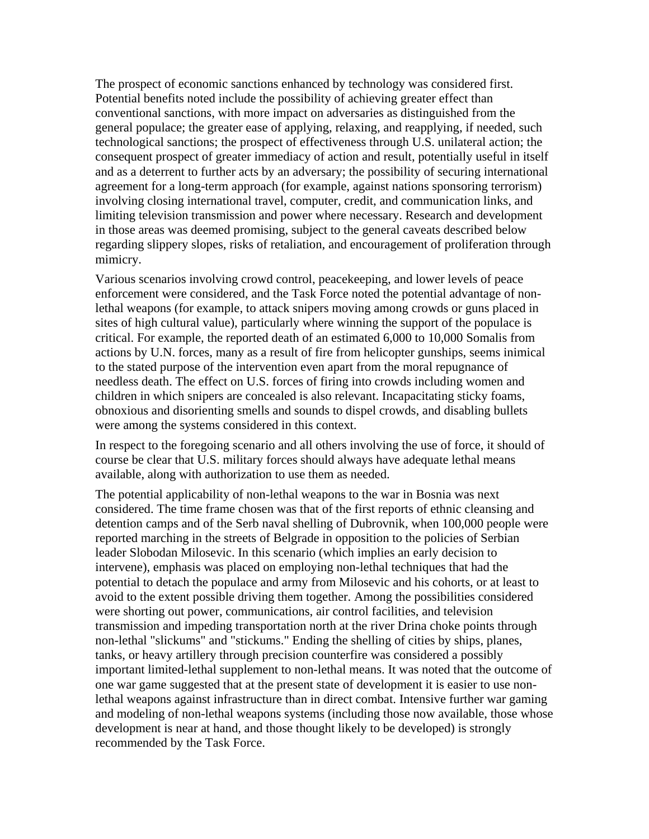The prospect of economic sanctions enhanced by technology was considered first. Potential benefits noted include the possibility of achieving greater effect than conventional sanctions, with more impact on adversaries as distinguished from the general populace; the greater ease of applying, relaxing, and reapplying, if needed, such technological sanctions; the prospect of effectiveness through U.S. unilateral action; the consequent prospect of greater immediacy of action and result, potentially useful in itself and as a deterrent to further acts by an adversary; the possibility of securing international agreement for a long-term approach (for example, against nations sponsoring terrorism) involving closing international travel, computer, credit, and communication links, and limiting television transmission and power where necessary. Research and development in those areas was deemed promising, subject to the general caveats described below regarding slippery slopes, risks of retaliation, and encouragement of proliferation through mimicry.

Various scenarios involving crowd control, peacekeeping, and lower levels of peace enforcement were considered, and the Task Force noted the potential advantage of nonlethal weapons (for example, to attack snipers moving among crowds or guns placed in sites of high cultural value), particularly where winning the support of the populace is critical. For example, the reported death of an estimated 6,000 to 10,000 Somalis from actions by U.N. forces, many as a result of fire from helicopter gunships, seems inimical to the stated purpose of the intervention even apart from the moral repugnance of needless death. The effect on U.S. forces of firing into crowds including women and children in which snipers are concealed is also relevant. Incapacitating sticky foams, obnoxious and disorienting smells and sounds to dispel crowds, and disabling bullets were among the systems considered in this context.

In respect to the foregoing scenario and all others involving the use of force, it should of course be clear that U.S. military forces should always have adequate lethal means available, along with authorization to use them as needed.

The potential applicability of non-lethal weapons to the war in Bosnia was next considered. The time frame chosen was that of the first reports of ethnic cleansing and detention camps and of the Serb naval shelling of Dubrovnik, when 100,000 people were reported marching in the streets of Belgrade in opposition to the policies of Serbian leader Slobodan Milosevic. In this scenario (which implies an early decision to intervene), emphasis was placed on employing non-lethal techniques that had the potential to detach the populace and army from Milosevic and his cohorts, or at least to avoid to the extent possible driving them together. Among the possibilities considered were shorting out power, communications, air control facilities, and television transmission and impeding transportation north at the river Drina choke points through non-lethal "slickums" and "stickums." Ending the shelling of cities by ships, planes, tanks, or heavy artillery through precision counterfire was considered a possibly important limited-lethal supplement to non-lethal means. It was noted that the outcome of one war game suggested that at the present state of development it is easier to use nonlethal weapons against infrastructure than in direct combat. Intensive further war gaming and modeling of non-lethal weapons systems (including those now available, those whose development is near at hand, and those thought likely to be developed) is strongly recommended by the Task Force.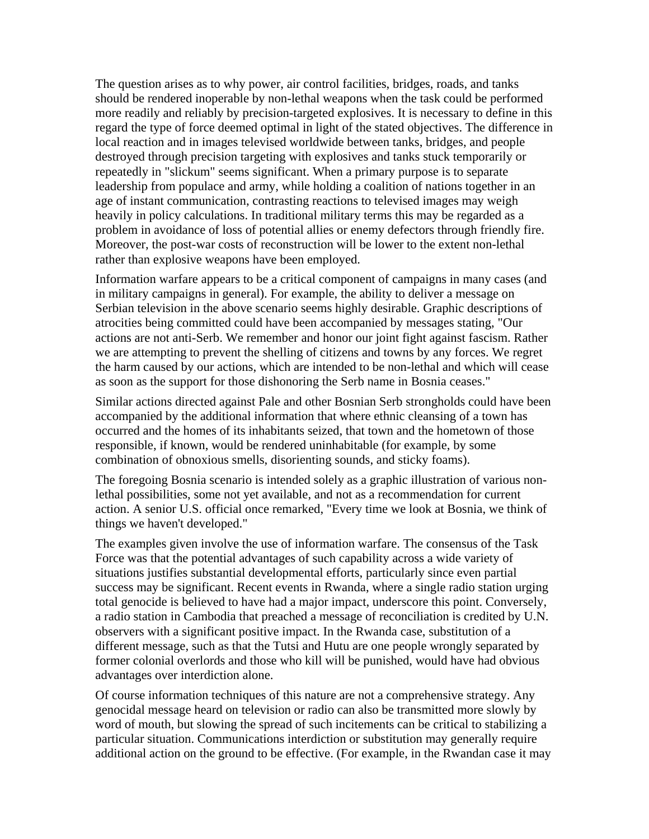The question arises as to why power, air control facilities, bridges, roads, and tanks should be rendered inoperable by non-lethal weapons when the task could be performed more readily and reliably by precision-targeted explosives. It is necessary to define in this regard the type of force deemed optimal in light of the stated objectives. The difference in local reaction and in images televised worldwide between tanks, bridges, and people destroyed through precision targeting with explosives and tanks stuck temporarily or repeatedly in "slickum" seems significant. When a primary purpose is to separate leadership from populace and army, while holding a coalition of nations together in an age of instant communication, contrasting reactions to televised images may weigh heavily in policy calculations. In traditional military terms this may be regarded as a problem in avoidance of loss of potential allies or enemy defectors through friendly fire. Moreover, the post-war costs of reconstruction will be lower to the extent non-lethal rather than explosive weapons have been employed.

Information warfare appears to be a critical component of campaigns in many cases (and in military campaigns in general). For example, the ability to deliver a message on Serbian television in the above scenario seems highly desirable. Graphic descriptions of atrocities being committed could have been accompanied by messages stating, "Our actions are not anti-Serb. We remember and honor our joint fight against fascism. Rather we are attempting to prevent the shelling of citizens and towns by any forces. We regret the harm caused by our actions, which are intended to be non-lethal and which will cease as soon as the support for those dishonoring the Serb name in Bosnia ceases."

Similar actions directed against Pale and other Bosnian Serb strongholds could have been accompanied by the additional information that where ethnic cleansing of a town has occurred and the homes of its inhabitants seized, that town and the hometown of those responsible, if known, would be rendered uninhabitable (for example, by some combination of obnoxious smells, disorienting sounds, and sticky foams).

The foregoing Bosnia scenario is intended solely as a graphic illustration of various nonlethal possibilities, some not yet available, and not as a recommendation for current action. A senior U.S. official once remarked, "Every time we look at Bosnia, we think of things we haven't developed."

The examples given involve the use of information warfare. The consensus of the Task Force was that the potential advantages of such capability across a wide variety of situations justifies substantial developmental efforts, particularly since even partial success may be significant. Recent events in Rwanda, where a single radio station urging total genocide is believed to have had a major impact, underscore this point. Conversely, a radio station in Cambodia that preached a message of reconciliation is credited by U.N. observers with a significant positive impact. In the Rwanda case, substitution of a different message, such as that the Tutsi and Hutu are one people wrongly separated by former colonial overlords and those who kill will be punished, would have had obvious advantages over interdiction alone.

Of course information techniques of this nature are not a comprehensive strategy. Any genocidal message heard on television or radio can also be transmitted more slowly by word of mouth, but slowing the spread of such incitements can be critical to stabilizing a particular situation. Communications interdiction or substitution may generally require additional action on the ground to be effective. (For example, in the Rwandan case it may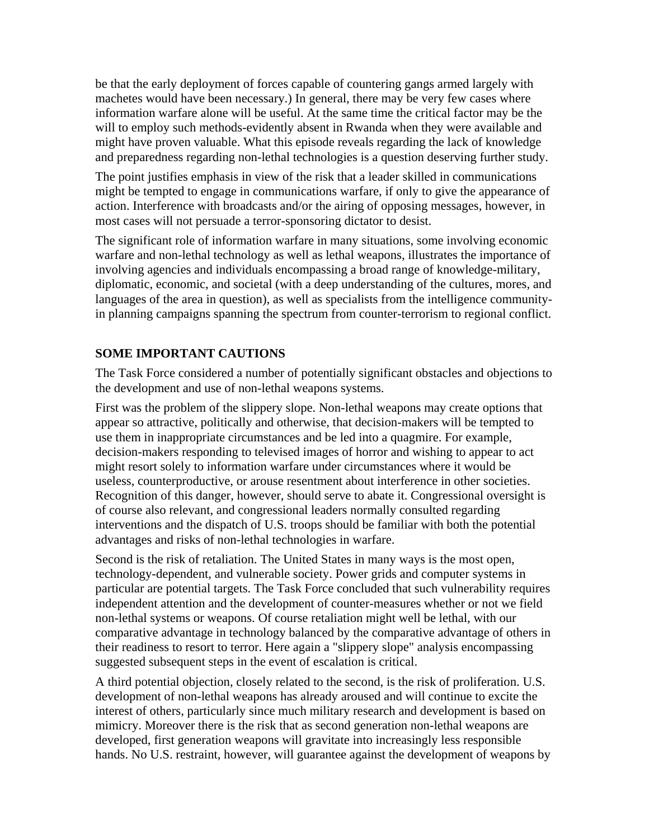be that the early deployment of forces capable of countering gangs armed largely with machetes would have been necessary.) In general, there may be very few cases where information warfare alone will be useful. At the same time the critical factor may be the will to employ such methods-evidently absent in Rwanda when they were available and might have proven valuable. What this episode reveals regarding the lack of knowledge and preparedness regarding non-lethal technologies is a question deserving further study.

The point justifies emphasis in view of the risk that a leader skilled in communications might be tempted to engage in communications warfare, if only to give the appearance of action. Interference with broadcasts and/or the airing of opposing messages, however, in most cases will not persuade a terror-sponsoring dictator to desist.

The significant role of information warfare in many situations, some involving economic warfare and non-lethal technology as well as lethal weapons, illustrates the importance of involving agencies and individuals encompassing a broad range of knowledge-military, diplomatic, economic, and societal (with a deep understanding of the cultures, mores, and languages of the area in question), as well as specialists from the intelligence communityin planning campaigns spanning the spectrum from counter-terrorism to regional conflict.

# **SOME IMPORTANT CAUTIONS**

The Task Force considered a number of potentially significant obstacles and objections to the development and use of non-lethal weapons systems.

First was the problem of the slippery slope. Non-lethal weapons may create options that appear so attractive, politically and otherwise, that decision-makers will be tempted to use them in inappropriate circumstances and be led into a quagmire. For example, decision-makers responding to televised images of horror and wishing to appear to act might resort solely to information warfare under circumstances where it would be useless, counterproductive, or arouse resentment about interference in other societies. Recognition of this danger, however, should serve to abate it. Congressional oversight is of course also relevant, and congressional leaders normally consulted regarding interventions and the dispatch of U.S. troops should be familiar with both the potential advantages and risks of non-lethal technologies in warfare.

Second is the risk of retaliation. The United States in many ways is the most open, technology-dependent, and vulnerable society. Power grids and computer systems in particular are potential targets. The Task Force concluded that such vulnerability requires independent attention and the development of counter-measures whether or not we field non-lethal systems or weapons. Of course retaliation might well be lethal, with our comparative advantage in technology balanced by the comparative advantage of others in their readiness to resort to terror. Here again a "slippery slope" analysis encompassing suggested subsequent steps in the event of escalation is critical.

A third potential objection, closely related to the second, is the risk of proliferation. U.S. development of non-lethal weapons has already aroused and will continue to excite the interest of others, particularly since much military research and development is based on mimicry. Moreover there is the risk that as second generation non-lethal weapons are developed, first generation weapons will gravitate into increasingly less responsible hands. No U.S. restraint, however, will guarantee against the development of weapons by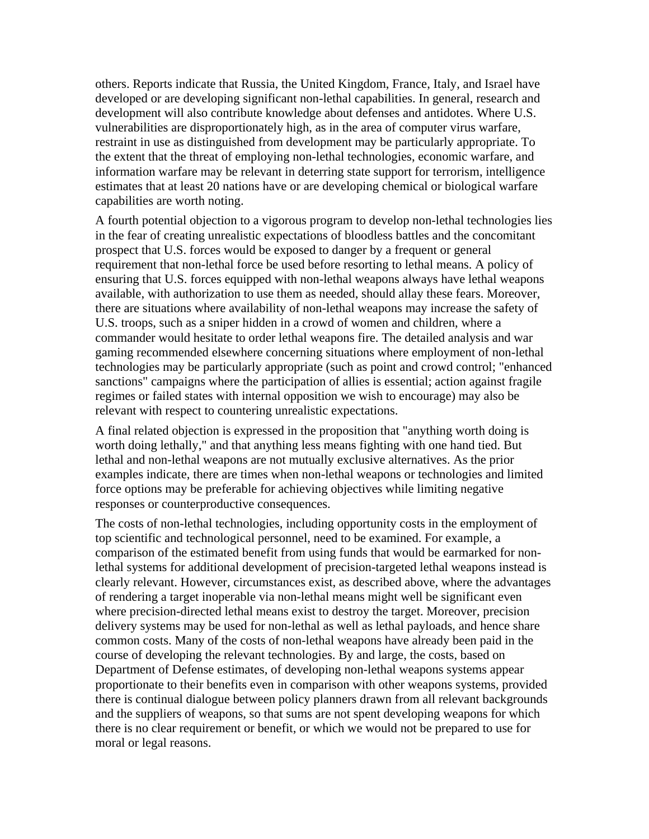others. Reports indicate that Russia, the United Kingdom, France, Italy, and Israel have developed or are developing significant non-lethal capabilities. In general, research and development will also contribute knowledge about defenses and antidotes. Where U.S. vulnerabilities are disproportionately high, as in the area of computer virus warfare, restraint in use as distinguished from development may be particularly appropriate. To the extent that the threat of employing non-lethal technologies, economic warfare, and information warfare may be relevant in deterring state support for terrorism, intelligence estimates that at least 20 nations have or are developing chemical or biological warfare capabilities are worth noting.

A fourth potential objection to a vigorous program to develop non-lethal technologies lies in the fear of creating unrealistic expectations of bloodless battles and the concomitant prospect that U.S. forces would be exposed to danger by a frequent or general requirement that non-lethal force be used before resorting to lethal means. A policy of ensuring that U.S. forces equipped with non-lethal weapons always have lethal weapons available, with authorization to use them as needed, should allay these fears. Moreover, there are situations where availability of non-lethal weapons may increase the safety of U.S. troops, such as a sniper hidden in a crowd of women and children, where a commander would hesitate to order lethal weapons fire. The detailed analysis and war gaming recommended elsewhere concerning situations where employment of non-lethal technologies may be particularly appropriate (such as point and crowd control; "enhanced sanctions" campaigns where the participation of allies is essential; action against fragile regimes or failed states with internal opposition we wish to encourage) may also be relevant with respect to countering unrealistic expectations.

A final related objection is expressed in the proposition that "anything worth doing is worth doing lethally," and that anything less means fighting with one hand tied. But lethal and non-lethal weapons are not mutually exclusive alternatives. As the prior examples indicate, there are times when non-lethal weapons or technologies and limited force options may be preferable for achieving objectives while limiting negative responses or counterproductive consequences.

The costs of non-lethal technologies, including opportunity costs in the employment of top scientific and technological personnel, need to be examined. For example, a comparison of the estimated benefit from using funds that would be earmarked for nonlethal systems for additional development of precision-targeted lethal weapons instead is clearly relevant. However, circumstances exist, as described above, where the advantages of rendering a target inoperable via non-lethal means might well be significant even where precision-directed lethal means exist to destroy the target. Moreover, precision delivery systems may be used for non-lethal as well as lethal payloads, and hence share common costs. Many of the costs of non-lethal weapons have already been paid in the course of developing the relevant technologies. By and large, the costs, based on Department of Defense estimates, of developing non-lethal weapons systems appear proportionate to their benefits even in comparison with other weapons systems, provided there is continual dialogue between policy planners drawn from all relevant backgrounds and the suppliers of weapons, so that sums are not spent developing weapons for which there is no clear requirement or benefit, or which we would not be prepared to use for moral or legal reasons.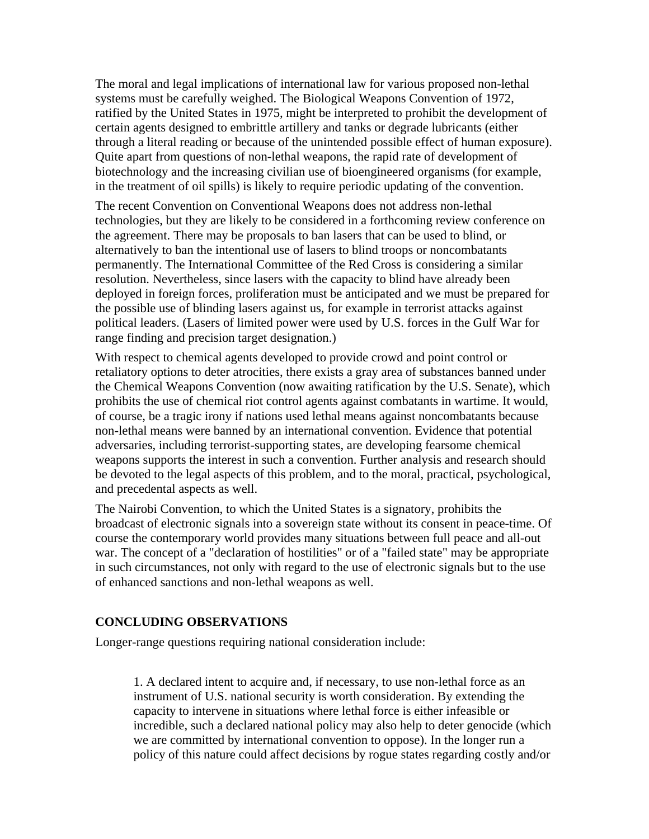The moral and legal implications of international law for various proposed non-lethal systems must be carefully weighed. The Biological Weapons Convention of 1972, ratified by the United States in 1975, might be interpreted to prohibit the development of certain agents designed to embrittle artillery and tanks or degrade lubricants (either through a literal reading or because of the unintended possible effect of human exposure). Quite apart from questions of non-lethal weapons, the rapid rate of development of biotechnology and the increasing civilian use of bioengineered organisms (for example, in the treatment of oil spills) is likely to require periodic updating of the convention.

The recent Convention on Conventional Weapons does not address non-lethal technologies, but they are likely to be considered in a forthcoming review conference on the agreement. There may be proposals to ban lasers that can be used to blind, or alternatively to ban the intentional use of lasers to blind troops or noncombatants permanently. The International Committee of the Red Cross is considering a similar resolution. Nevertheless, since lasers with the capacity to blind have already been deployed in foreign forces, proliferation must be anticipated and we must be prepared for the possible use of blinding lasers against us, for example in terrorist attacks against political leaders. (Lasers of limited power were used by U.S. forces in the Gulf War for range finding and precision target designation.)

With respect to chemical agents developed to provide crowd and point control or retaliatory options to deter atrocities, there exists a gray area of substances banned under the Chemical Weapons Convention (now awaiting ratification by the U.S. Senate), which prohibits the use of chemical riot control agents against combatants in wartime. It would, of course, be a tragic irony if nations used lethal means against noncombatants because non-lethal means were banned by an international convention. Evidence that potential adversaries, including terrorist-supporting states, are developing fearsome chemical weapons supports the interest in such a convention. Further analysis and research should be devoted to the legal aspects of this problem, and to the moral, practical, psychological, and precedental aspects as well.

The Nairobi Convention, to which the United States is a signatory, prohibits the broadcast of electronic signals into a sovereign state without its consent in peace-time. Of course the contemporary world provides many situations between full peace and all-out war. The concept of a "declaration of hostilities" or of a "failed state" may be appropriate in such circumstances, not only with regard to the use of electronic signals but to the use of enhanced sanctions and non-lethal weapons as well.

### **CONCLUDING OBSERVATIONS**

Longer-range questions requiring national consideration include:

1. A declared intent to acquire and, if necessary, to use non-lethal force as an instrument of U.S. national security is worth consideration. By extending the capacity to intervene in situations where lethal force is either infeasible or incredible, such a declared national policy may also help to deter genocide (which we are committed by international convention to oppose). In the longer run a policy of this nature could affect decisions by rogue states regarding costly and/or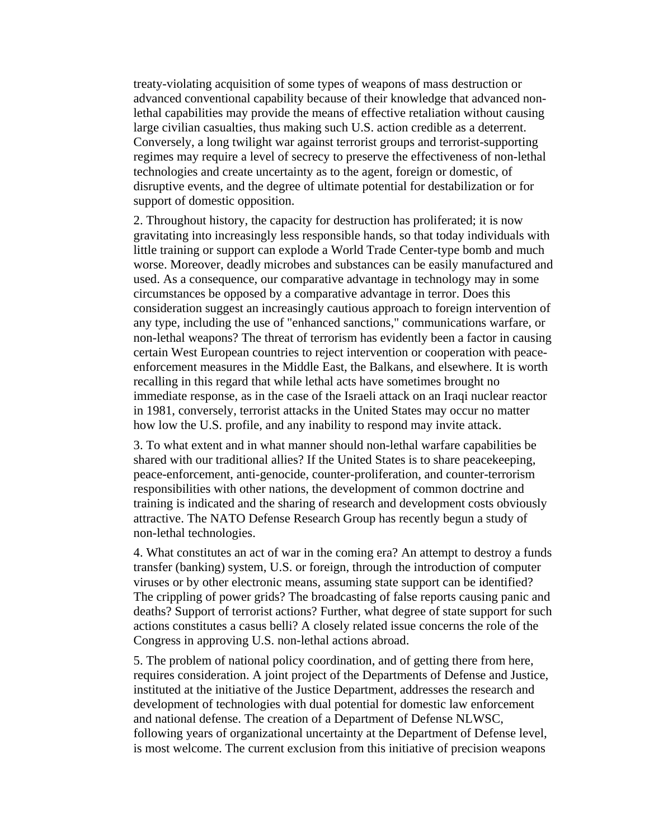treaty-violating acquisition of some types of weapons of mass destruction or advanced conventional capability because of their knowledge that advanced nonlethal capabilities may provide the means of effective retaliation without causing large civilian casualties, thus making such U.S. action credible as a deterrent. Conversely, a long twilight war against terrorist groups and terrorist-supporting regimes may require a level of secrecy to preserve the effectiveness of non-lethal technologies and create uncertainty as to the agent, foreign or domestic, of disruptive events, and the degree of ultimate potential for destabilization or for support of domestic opposition.

2. Throughout history, the capacity for destruction has proliferated; it is now gravitating into increasingly less responsible hands, so that today individuals with little training or support can explode a World Trade Center-type bomb and much worse. Moreover, deadly microbes and substances can be easily manufactured and used. As a consequence, our comparative advantage in technology may in some circumstances be opposed by a comparative advantage in terror. Does this consideration suggest an increasingly cautious approach to foreign intervention of any type, including the use of "enhanced sanctions," communications warfare, or non-lethal weapons? The threat of terrorism has evidently been a factor in causing certain West European countries to reject intervention or cooperation with peaceenforcement measures in the Middle East, the Balkans, and elsewhere. It is worth recalling in this regard that while lethal acts have sometimes brought no immediate response, as in the case of the Israeli attack on an Iraqi nuclear reactor in 1981, conversely, terrorist attacks in the United States may occur no matter how low the U.S. profile, and any inability to respond may invite attack.

3. To what extent and in what manner should non-lethal warfare capabilities be shared with our traditional allies? If the United States is to share peacekeeping, peace-enforcement, anti-genocide, counter-proliferation, and counter-terrorism responsibilities with other nations, the development of common doctrine and training is indicated and the sharing of research and development costs obviously attractive. The NATO Defense Research Group has recently begun a study of non-lethal technologies.

4. What constitutes an act of war in the coming era? An attempt to destroy a funds transfer (banking) system, U.S. or foreign, through the introduction of computer viruses or by other electronic means, assuming state support can be identified? The crippling of power grids? The broadcasting of false reports causing panic and deaths? Support of terrorist actions? Further, what degree of state support for such actions constitutes a casus belli? A closely related issue concerns the role of the Congress in approving U.S. non-lethal actions abroad.

5. The problem of national policy coordination, and of getting there from here, requires consideration. A joint project of the Departments of Defense and Justice, instituted at the initiative of the Justice Department, addresses the research and development of technologies with dual potential for domestic law enforcement and national defense. The creation of a Department of Defense NLWSC, following years of organizational uncertainty at the Department of Defense level, is most welcome. The current exclusion from this initiative of precision weapons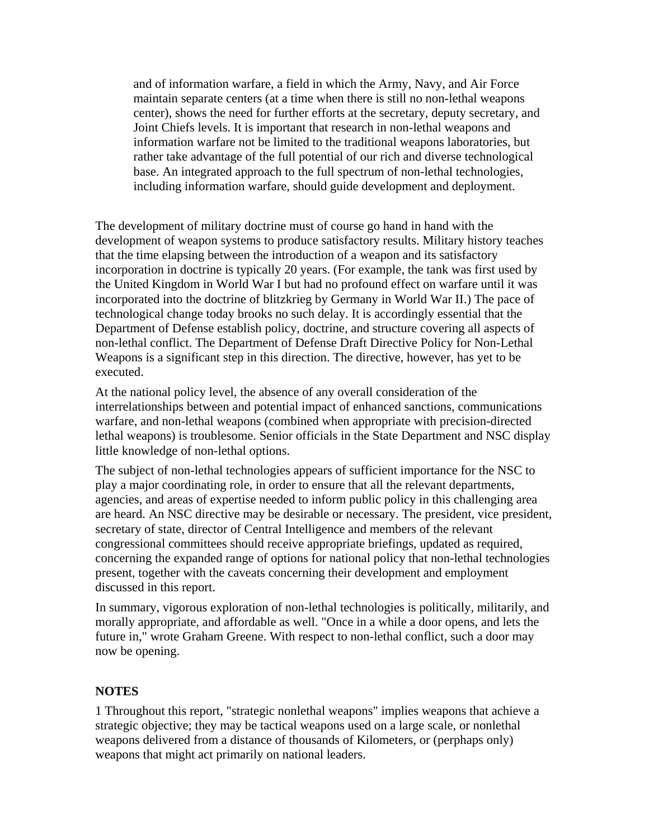and of information warfare, a field in which the Army, Navy, and Air Force maintain separate centers (at a time when there is still no non-lethal weapons center), shows the need for further efforts at the secretary, deputy secretary, and Joint Chiefs levels. It is important that research in non-lethal weapons and information warfare not be limited to the traditional weapons laboratories, but rather take advantage of the full potential of our rich and diverse technological base. An integrated approach to the full spectrum of non-lethal technologies, including information warfare, should guide development and deployment.

The development of military doctrine must of course go hand in hand with the development of weapon systems to produce satisfactory results. Military history teaches that the time elapsing between the introduction of a weapon and its satisfactory incorporation in doctrine is typically 20 years. (For example, the tank was first used by the United Kingdom in World War I but had no profound effect on warfare until it was incorporated into the doctrine of blitzkrieg by Germany in World War II.) The pace of technological change today brooks no such delay. It is accordingly essential that the Department of Defense establish policy, doctrine, and structure covering all aspects of non-lethal conflict. The Department of Defense Draft Directive Policy for Non-Lethal Weapons is a significant step in this direction. The directive, however, has yet to be executed.

At the national policy level, the absence of any overall consideration of the interrelationships between and potential impact of enhanced sanctions, communications warfare, and non-lethal weapons (combined when appropriate with precision-directed lethal weapons) is troublesome. Senior officials in the State Department and NSC display little knowledge of non-lethal options.

The subject of non-lethal technologies appears of sufficient importance for the NSC to play a major coordinating role, in order to ensure that all the relevant departments, agencies, and areas of expertise needed to inform public policy in this challenging area are heard. An NSC directive may be desirable or necessary. The president, vice president, secretary of state, director of Central Intelligence and members of the relevant congressional committees should receive appropriate briefings, updated as required, concerning the expanded range of options for national policy that non-lethal technologies present, together with the caveats concerning their development and employment discussed in this report.

In summary, vigorous exploration of non-lethal technologies is politically, militarily, and morally appropriate, and affordable as well. "Once in a while a door opens, and lets the future in," wrote Graham Greene. With respect to non-lethal conflict, such a door may now be opening.

### **NOTES**

1 Throughout this report, "strategic nonlethal weapons" implies weapons that achieve a strategic objective; they may be tactical weapons used on a large scale, or nonlethal weapons delivered from a distance of thousands of Kilometers, or (perphaps only) weapons that might act primarily on national leaders.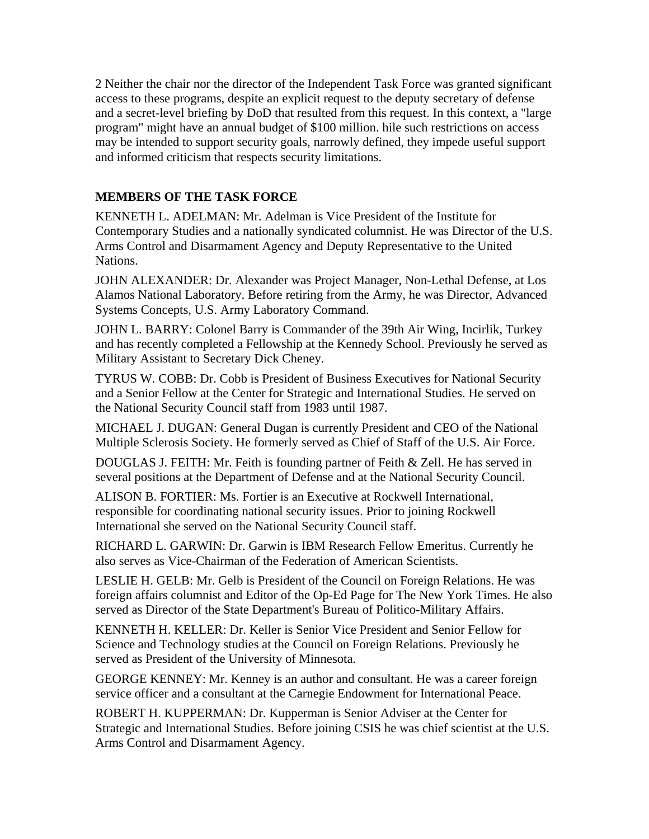2 Neither the chair nor the director of the Independent Task Force was granted significant access to these programs, despite an explicit request to the deputy secretary of defense and a secret-level briefing by DoD that resulted from this request. In this context, a "large program" might have an annual budget of \$100 million. hile such restrictions on access may be intended to support security goals, narrowly defined, they impede useful support and informed criticism that respects security limitations.

### **MEMBERS OF THE TASK FORCE**

KENNETH L. ADELMAN: Mr. Adelman is Vice President of the Institute for Contemporary Studies and a nationally syndicated columnist. He was Director of the U.S. Arms Control and Disarmament Agency and Deputy Representative to the United Nations.

JOHN ALEXANDER: Dr. Alexander was Project Manager, Non-Lethal Defense, at Los Alamos National Laboratory. Before retiring from the Army, he was Director, Advanced Systems Concepts, U.S. Army Laboratory Command.

JOHN L. BARRY: Colonel Barry is Commander of the 39th Air Wing, Incirlik, Turkey and has recently completed a Fellowship at the Kennedy School. Previously he served as Military Assistant to Secretary Dick Cheney.

TYRUS W. COBB: Dr. Cobb is President of Business Executives for National Security and a Senior Fellow at the Center for Strategic and International Studies. He served on the National Security Council staff from 1983 until 1987.

MICHAEL J. DUGAN: General Dugan is currently President and CEO of the National Multiple Sclerosis Society. He formerly served as Chief of Staff of the U.S. Air Force.

DOUGLAS J. FEITH: Mr. Feith is founding partner of Feith & Zell. He has served in several positions at the Department of Defense and at the National Security Council.

ALISON B. FORTIER: Ms. Fortier is an Executive at Rockwell International, responsible for coordinating national security issues. Prior to joining Rockwell International she served on the National Security Council staff.

RICHARD L. GARWIN: Dr. Garwin is IBM Research Fellow Emeritus. Currently he also serves as Vice-Chairman of the Federation of American Scientists.

LESLIE H. GELB: Mr. Gelb is President of the Council on Foreign Relations. He was foreign affairs columnist and Editor of the Op-Ed Page for The New York Times. He also served as Director of the State Department's Bureau of Politico-Military Affairs.

KENNETH H. KELLER: Dr. Keller is Senior Vice President and Senior Fellow for Science and Technology studies at the Council on Foreign Relations. Previously he served as President of the University of Minnesota.

GEORGE KENNEY: Mr. Kenney is an author and consultant. He was a career foreign service officer and a consultant at the Carnegie Endowment for International Peace.

ROBERT H. KUPPERMAN: Dr. Kupperman is Senior Adviser at the Center for Strategic and International Studies. Before joining CSIS he was chief scientist at the U.S. Arms Control and Disarmament Agency.